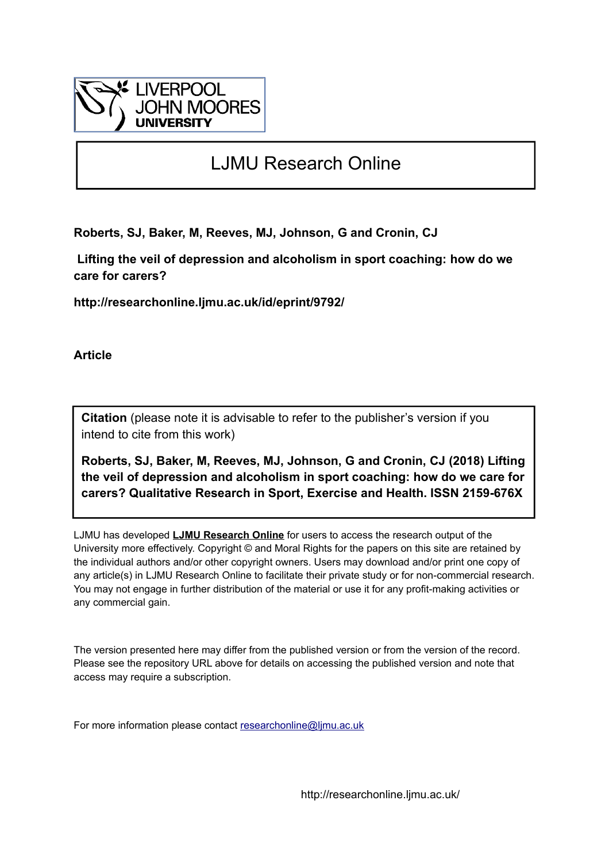

# LJMU Research Online

**Roberts, SJ, Baker, M, Reeves, MJ, Johnson, G and Cronin, CJ**

 **Lifting the veil of depression and alcoholism in sport coaching: how do we care for carers?**

**http://researchonline.ljmu.ac.uk/id/eprint/9792/**

**Article**

**Citation** (please note it is advisable to refer to the publisher's version if you intend to cite from this work)

**Roberts, SJ, Baker, M, Reeves, MJ, Johnson, G and Cronin, CJ (2018) Lifting the veil of depression and alcoholism in sport coaching: how do we care for carers? Qualitative Research in Sport, Exercise and Health. ISSN 2159-676X**

LJMU has developed **[LJMU Research Online](http://researchonline.ljmu.ac.uk/)** for users to access the research output of the University more effectively. Copyright © and Moral Rights for the papers on this site are retained by the individual authors and/or other copyright owners. Users may download and/or print one copy of any article(s) in LJMU Research Online to facilitate their private study or for non-commercial research. You may not engage in further distribution of the material or use it for any profit-making activities or any commercial gain.

The version presented here may differ from the published version or from the version of the record. Please see the repository URL above for details on accessing the published version and note that access may require a subscription.

For more information please contact [researchonline@ljmu.ac.uk](mailto:researchonline@ljmu.ac.uk)

http://researchonline.ljmu.ac.uk/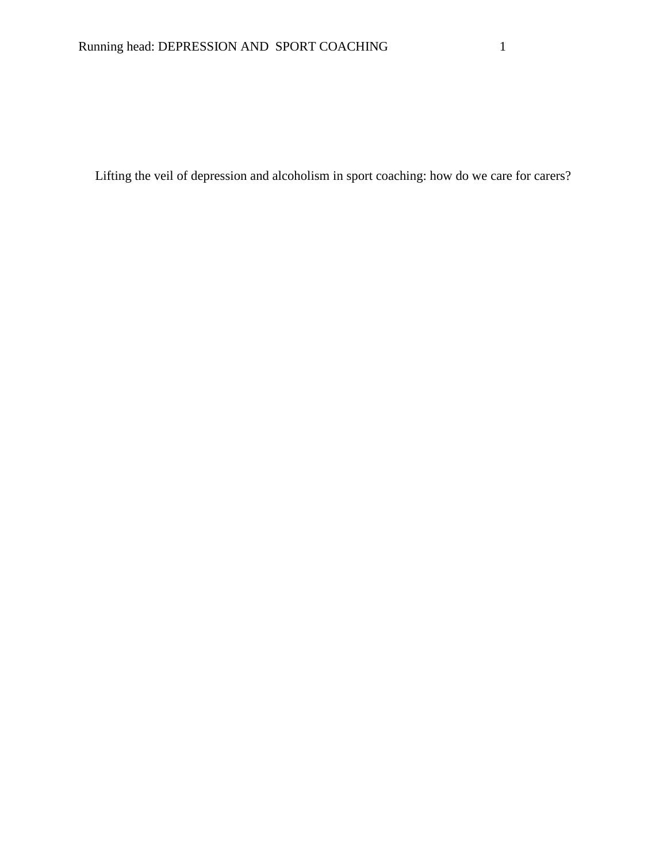Lifting the veil of depression and alcoholism in sport coaching: how do we care for carers?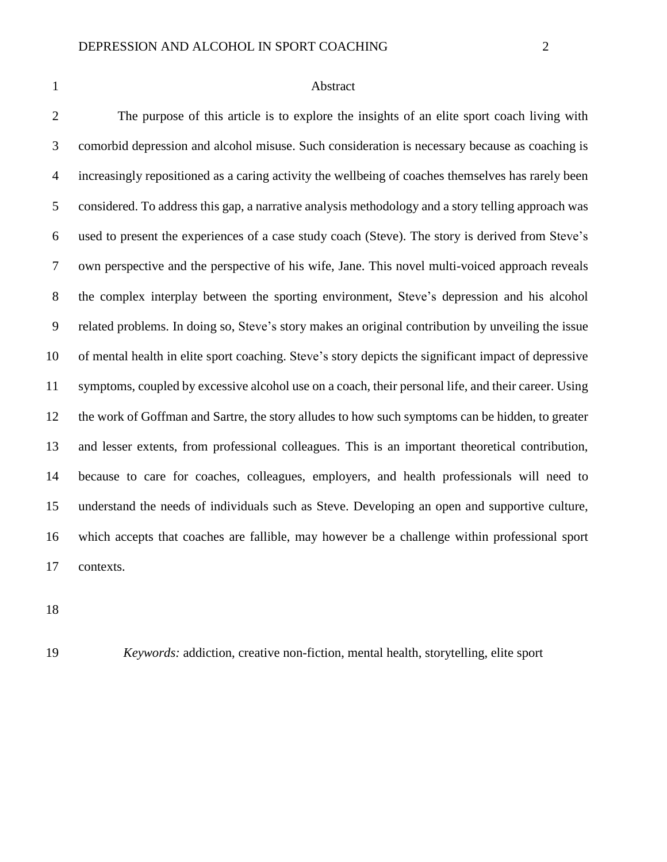#### Abstract

 The purpose of this article is to explore the insights of an elite sport coach living with comorbid depression and alcohol misuse. Such consideration is necessary because as coaching is increasingly repositioned as a caring activity the wellbeing of coaches themselves has rarely been considered. To address this gap, a narrative analysis methodology and a story telling approach was used to present the experiences of a case study coach (Steve). The story is derived from Steve's own perspective and the perspective of his wife, Jane. This novel multi-voiced approach reveals the complex interplay between the sporting environment, Steve's depression and his alcohol related problems. In doing so, Steve's story makes an original contribution by unveiling the issue of mental health in elite sport coaching. Steve's story depicts the significant impact of depressive symptoms, coupled by excessive alcohol use on a coach, their personal life, and their career. Using the work of Goffman and Sartre, the story alludes to how such symptoms can be hidden, to greater and lesser extents, from professional colleagues. This is an important theoretical contribution, because to care for coaches, colleagues, employers, and health professionals will need to understand the needs of individuals such as Steve. Developing an open and supportive culture, which accepts that coaches are fallible, may however be a challenge within professional sport contexts.

*Keywords:* addiction, creative non-fiction, mental health, storytelling, elite sport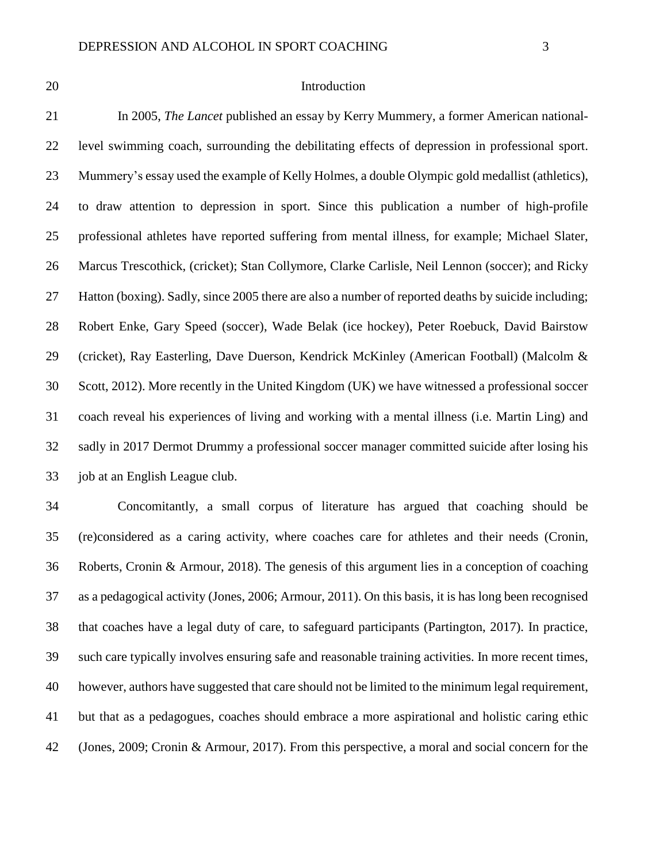### Introduction

 In 2005, *The Lancet* published an essay by Kerry Mummery, a former American national- level swimming coach, surrounding the debilitating effects of depression in professional sport. Mummery's essay used the example of Kelly Holmes, a double Olympic gold medallist (athletics), to draw attention to depression in sport. Since this publication a number of high-profile professional athletes have reported suffering from mental illness, for example; Michael Slater, Marcus Trescothick, (cricket); Stan Collymore, Clarke Carlisle, Neil Lennon (soccer); and Ricky Hatton (boxing). Sadly, since 2005 there are also a number of reported deaths by suicide including; Robert Enke, Gary Speed (soccer), Wade Belak (ice hockey), Peter Roebuck, David Bairstow (cricket), Ray Easterling, Dave Duerson, Kendrick McKinley (American Football) (Malcolm & Scott, 2012). More recently in the United Kingdom (UK) we have witnessed a professional soccer coach reveal his experiences of living and working with a mental illness (i.e. Martin Ling) and sadly in 2017 Dermot Drummy a professional soccer manager committed suicide after losing his job at an English League club.

 Concomitantly, a small corpus of literature has argued that coaching should be (re)considered as a caring activity, where coaches care for athletes and their needs (Cronin, Roberts, Cronin & Armour, 2018). The genesis of this argument lies in a conception of coaching as a pedagogical activity (Jones, 2006; Armour, 2011). On this basis, it is has long been recognised that coaches have a legal duty of care, to safeguard participants (Partington, 2017). In practice, such care typically involves ensuring safe and reasonable training activities. In more recent times, however, authors have suggested that care should not be limited to the minimum legal requirement, but that as a pedagogues, coaches should embrace a more aspirational and holistic caring ethic (Jones, 2009; Cronin & Armour, 2017). From this perspective, a moral and social concern for the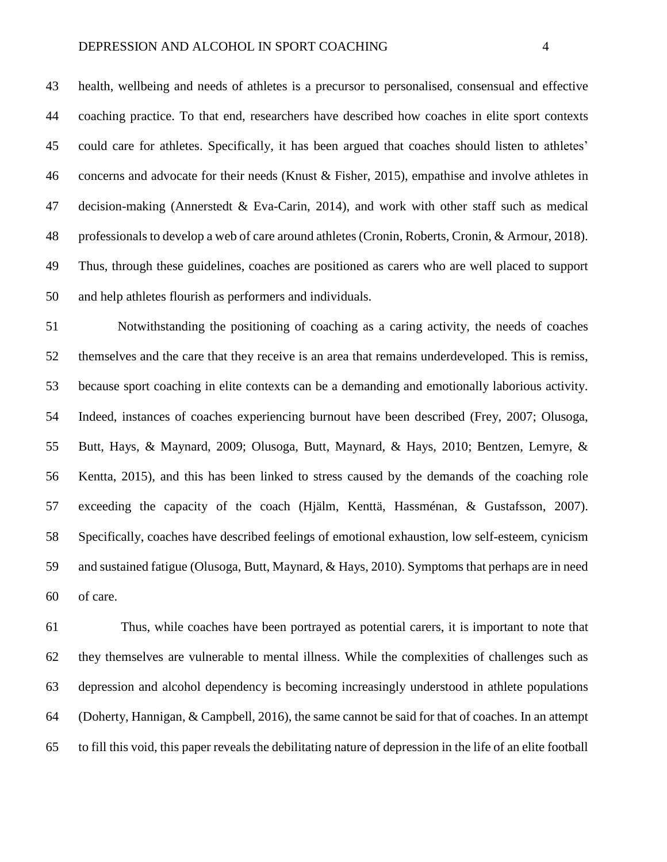health, wellbeing and needs of athletes is a precursor to personalised, consensual and effective coaching practice. To that end, researchers have described how coaches in elite sport contexts could care for athletes. Specifically, it has been argued that coaches should listen to athletes' concerns and advocate for their needs (Knust & Fisher, 2015), empathise and involve athletes in decision-making (Annerstedt & Eva-Carin, 2014), and work with other staff such as medical professionals to develop a web of care around athletes (Cronin, Roberts, Cronin, & Armour, 2018). Thus, through these guidelines, coaches are positioned as carers who are well placed to support and help athletes flourish as performers and individuals.

 Notwithstanding the positioning of coaching as a caring activity, the needs of coaches themselves and the care that they receive is an area that remains underdeveloped. This is remiss, because sport coaching in elite contexts can be a demanding and emotionally laborious activity. Indeed, instances of coaches experiencing burnout have been described (Frey, 2007; Olusoga, Butt, Hays, & Maynard, 2009; Olusoga, Butt, Maynard, & Hays, 2010; Bentzen, Lemyre, & Kentta, 2015), and this has been linked to stress caused by the demands of the coaching role exceeding the capacity of the coach (Hjälm, Kenttä, Hassménan, & Gustafsson, 2007). Specifically, coaches have described feelings of emotional exhaustion, low self-esteem, cynicism and sustained fatigue (Olusoga, Butt, Maynard, & Hays, 2010). Symptoms that perhaps are in need of care.

 Thus, while coaches have been portrayed as potential carers, it is important to note that they themselves are vulnerable to mental illness. While the complexities of challenges such as depression and alcohol dependency is becoming increasingly understood in athlete populations (Doherty, Hannigan, & Campbell, 2016), the same cannot be said for that of coaches. In an attempt to fill this void, this paper reveals the debilitating nature of depression in the life of an elite football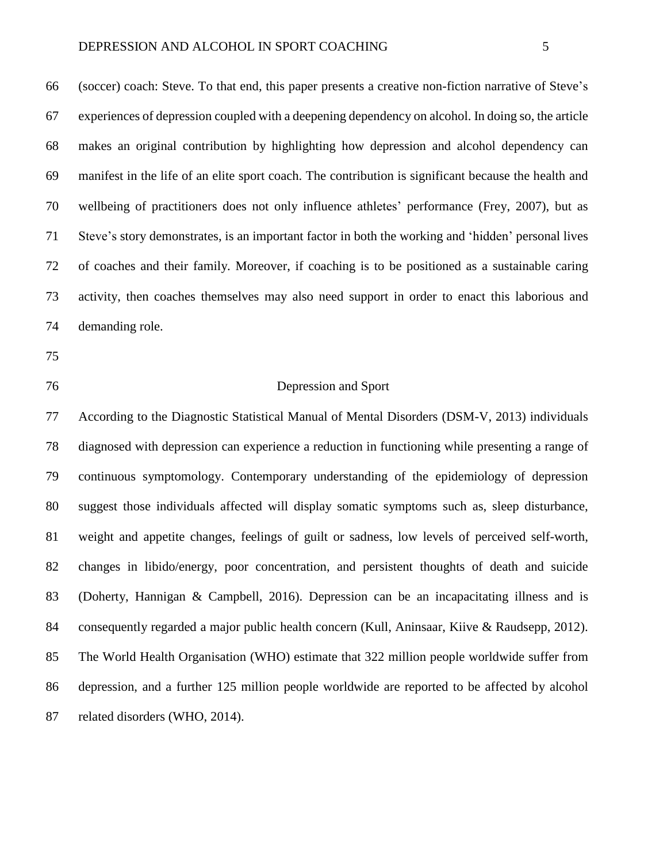(soccer) coach: Steve. To that end, this paper presents a creative non-fiction narrative of Steve's experiences of depression coupled with a deepening dependency on alcohol. In doing so, the article makes an original contribution by highlighting how depression and alcohol dependency can manifest in the life of an elite sport coach. The contribution is significant because the health and wellbeing of practitioners does not only influence athletes' performance (Frey, 2007), but as Steve's story demonstrates, is an important factor in both the working and 'hidden' personal lives

 activity, then coaches themselves may also need support in order to enact this laborious and demanding role.

of coaches and their family. Moreover, if coaching is to be positioned as a sustainable caring

- 
- 

### Depression and Sport

 According to the Diagnostic Statistical Manual of Mental Disorders (DSM-V, 2013) individuals diagnosed with depression can experience a reduction in functioning while presenting a range of continuous symptomology. Contemporary understanding of the epidemiology of depression suggest those individuals affected will display somatic symptoms such as, sleep disturbance, weight and appetite changes, feelings of guilt or sadness, low levels of perceived self-worth, changes in libido/energy, poor concentration, and persistent thoughts of death and suicide (Doherty, Hannigan & Campbell, 2016). Depression can be an incapacitating illness and is consequently regarded a major public health concern (Kull, Aninsaar, Kiive & Raudsepp, 2012). The World Health Organisation (WHO) estimate that 322 million people worldwide suffer from depression, and a further 125 million people worldwide are reported to be affected by alcohol related disorders (WHO, 2014).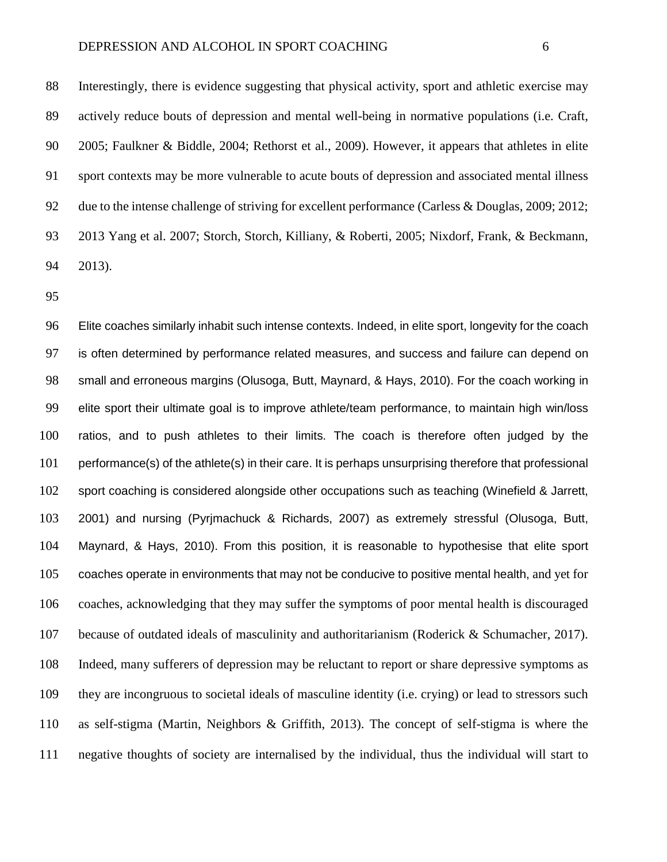Interestingly, there is evidence suggesting that physical activity, sport and athletic exercise may actively reduce bouts of depression and mental well-being in normative populations (i.e. Craft, 2005; Faulkner & Biddle, 2004; Rethorst et al., 2009). However, it appears that athletes in elite sport contexts may be more vulnerable to acute bouts of depression and associated mental illness due to the intense challenge of striving for excellent performance (Carless & Douglas, 2009; 2012; 2013 Yang et al. 2007; Storch, Storch, Killiany, & Roberti, 2005; Nixdorf, Frank, & Beckmann, 2013).

 Elite coaches similarly inhabit such intense contexts. Indeed, in elite sport, longevity for the coach is often determined by performance related measures, and success and failure can depend on small and erroneous margins (Olusoga, Butt, Maynard, & Hays, 2010). For the coach working in elite sport their ultimate goal is to improve athlete/team performance, to maintain high win/loss ratios, and to push athletes to their limits. The coach is therefore often judged by the performance(s) of the athlete(s) in their care. It is perhaps unsurprising therefore that professional 102 sport coaching is considered alongside other occupations such as teaching (Winefield & Jarrett, 2001) and nursing (Pyrjmachuck & Richards, 2007) as extremely stressful (Olusoga, Butt, Maynard, & Hays, 2010). From this position, it is reasonable to hypothesise that elite sport coaches operate in environments that may not be conducive to positive mental health, and yet for coaches, acknowledging that they may suffer the symptoms of poor mental health is discouraged because of outdated ideals of masculinity and authoritarianism (Roderick & Schumacher, 2017). Indeed, many sufferers of depression may be reluctant to report or share depressive symptoms as they are incongruous to societal ideals of masculine identity (i.e. crying) or lead to stressors such as self-stigma (Martin, Neighbors & Griffith, 2013). The concept of self-stigma is where the negative thoughts of society are internalised by the individual, thus the individual will start to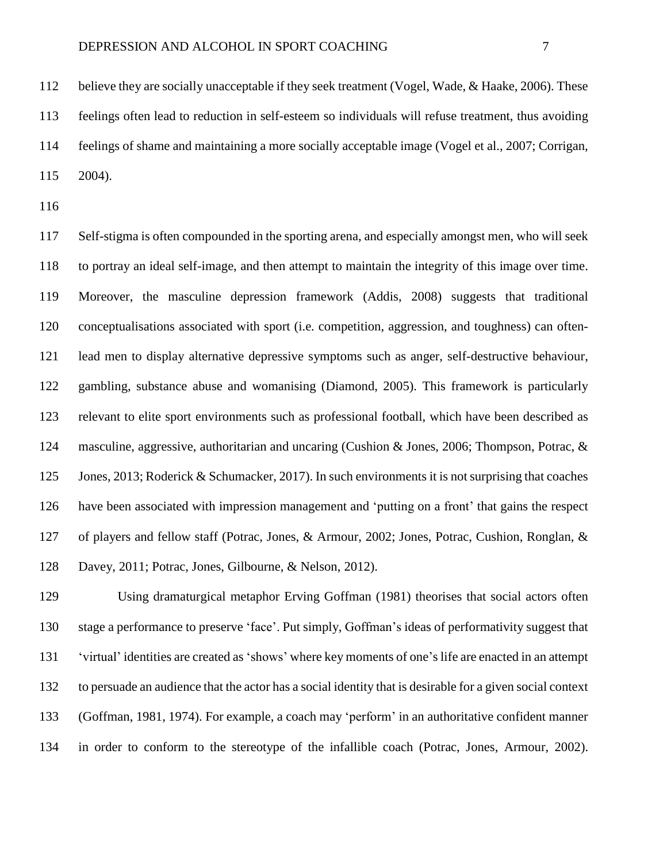believe they are socially unacceptable if they seek treatment (Vogel, Wade, & Haake, 2006). These feelings often lead to reduction in self-esteem so individuals will refuse treatment, thus avoiding feelings of shame and maintaining a more socially acceptable image (Vogel et al., 2007; Corrigan, 2004).

 Self-stigma is often compounded in the sporting arena, and especially amongst men, who will seek to portray an ideal self-image, and then attempt to maintain the integrity of this image over time. Moreover, the masculine depression framework (Addis, 2008) suggests that traditional conceptualisations associated with sport (i.e. competition, aggression, and toughness) can often- lead men to display alternative depressive symptoms such as anger, self-destructive behaviour, gambling, substance abuse and womanising (Diamond, 2005). This framework is particularly relevant to elite sport environments such as professional football, which have been described as masculine, aggressive, authoritarian and uncaring (Cushion & Jones, 2006; Thompson, Potrac, & 125 Jones, 2013; Roderick & Schumacker, 2017). In such environments it is not surprising that coaches have been associated with impression management and 'putting on a front' that gains the respect of players and fellow staff (Potrac, Jones, & Armour, 2002; Jones, Potrac, Cushion, Ronglan, & Davey, 2011; Potrac, Jones, Gilbourne, & Nelson, 2012).

 Using dramaturgical metaphor Erving Goffman (1981) theorises that social actors often stage a performance to preserve 'face'. Put simply, Goffman's ideas of performativity suggest that 'virtual' identities are created as 'shows' where key moments of one'slife are enacted in an attempt to persuade an audience that the actor has a social identity that is desirable for a given social context (Goffman, 1981, 1974). For example, a coach may 'perform' in an authoritative confident manner in order to conform to the stereotype of the infallible coach (Potrac, Jones, Armour, 2002).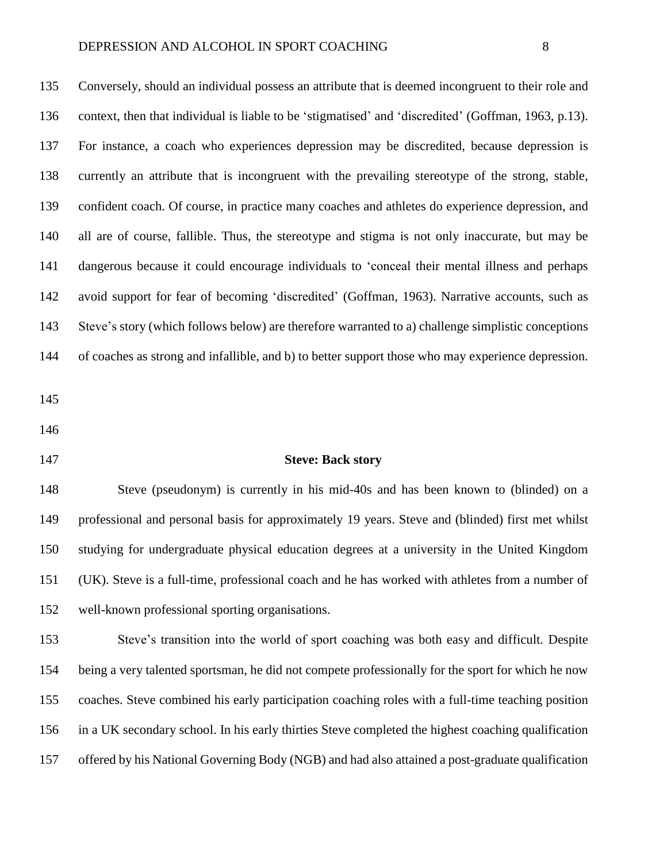Conversely, should an individual possess an attribute that is deemed incongruent to their role and context, then that individual is liable to be 'stigmatised' and 'discredited' (Goffman, 1963, p.13). For instance, a coach who experiences depression may be discredited, because depression is currently an attribute that is incongruent with the prevailing stereotype of the strong, stable, confident coach. Of course, in practice many coaches and athletes do experience depression, and all are of course, fallible. Thus, the stereotype and stigma is not only inaccurate, but may be dangerous because it could encourage individuals to 'conceal their mental illness and perhaps avoid support for fear of becoming 'discredited' (Goffman, 1963). Narrative accounts, such as Steve's story (which follows below) are therefore warranted to a) challenge simplistic conceptions

### **Steve: Back story**

of coaches as strong and infallible, and b) to better support those who may experience depression.

 Steve (pseudonym) is currently in his mid-40s and has been known to (blinded) on a professional and personal basis for approximately 19 years. Steve and (blinded) first met whilst studying for undergraduate physical education degrees at a university in the United Kingdom (UK). Steve is a full-time, professional coach and he has worked with athletes from a number of well-known professional sporting organisations.

 Steve's transition into the world of sport coaching was both easy and difficult. Despite being a very talented sportsman, he did not compete professionally for the sport for which he now coaches. Steve combined his early participation coaching roles with a full-time teaching position in a UK secondary school. In his early thirties Steve completed the highest coaching qualification offered by his National Governing Body (NGB) and had also attained a post-graduate qualification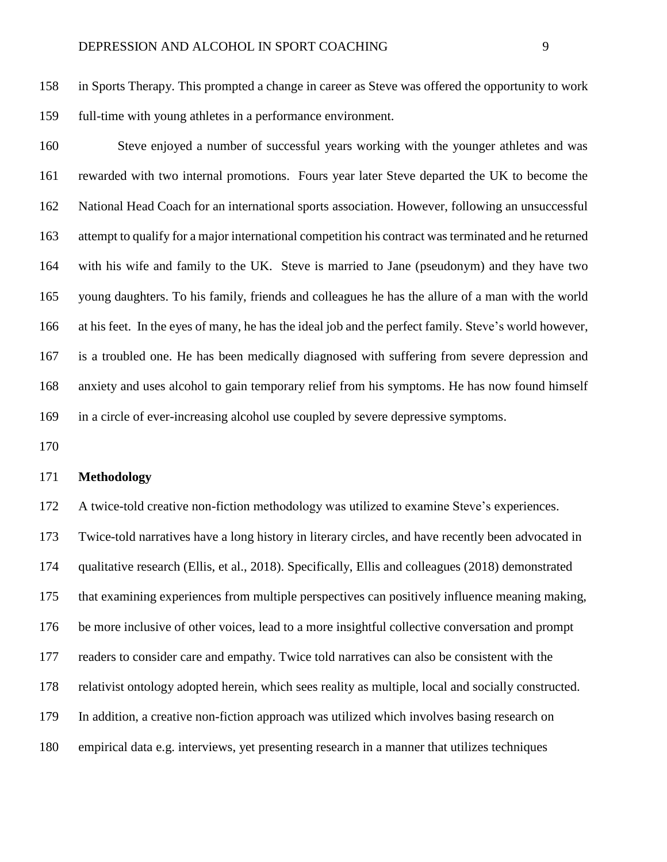in Sports Therapy. This prompted a change in career as Steve was offered the opportunity to work full-time with young athletes in a performance environment.

 Steve enjoyed a number of successful years working with the younger athletes and was rewarded with two internal promotions. Fours year later Steve departed the UK to become the National Head Coach for an international sports association. However, following an unsuccessful attempt to qualify for a major international competition his contract was terminated and he returned with his wife and family to the UK. Steve is married to Jane (pseudonym) and they have two young daughters. To his family, friends and colleagues he has the allure of a man with the world at his feet. In the eyes of many, he has the ideal job and the perfect family. Steve's world however, is a troubled one. He has been medically diagnosed with suffering from severe depression and anxiety and uses alcohol to gain temporary relief from his symptoms. He has now found himself in a circle of ever-increasing alcohol use coupled by severe depressive symptoms.

### **Methodology**

 A twice-told creative non-fiction methodology was utilized to examine Steve's experiences. Twice-told narratives have a long history in literary circles, and have recently been advocated in qualitative research (Ellis, et al., 2018). Specifically, Ellis and colleagues (2018) demonstrated that examining experiences from multiple perspectives can positively influence meaning making, be more inclusive of other voices, lead to a more insightful collective conversation and prompt readers to consider care and empathy. Twice told narratives can also be consistent with the relativist ontology adopted herein, which sees reality as multiple, local and socially constructed. In addition, a creative non-fiction approach was utilized which involves basing research on empirical data e.g. interviews, yet presenting research in a manner that utilizes techniques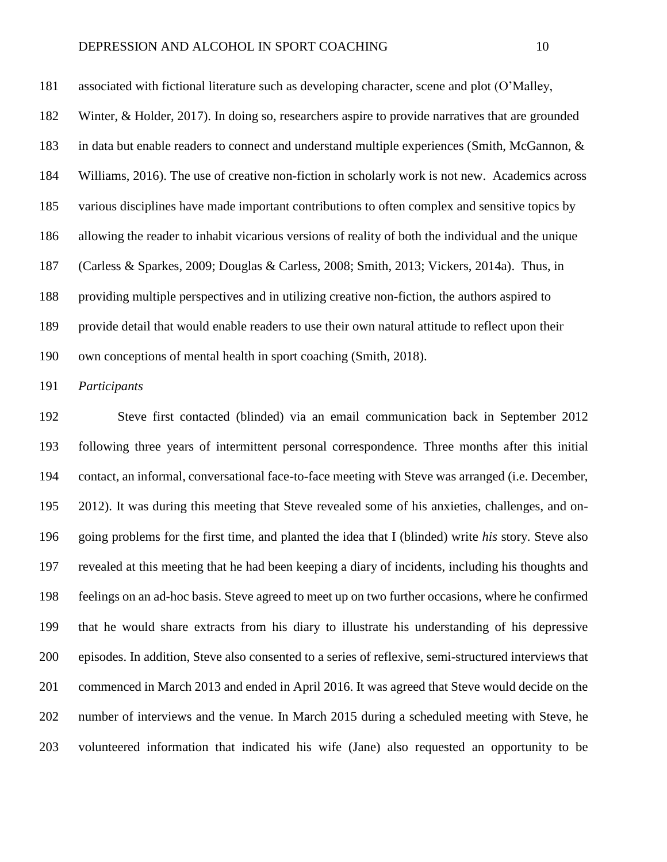associated with fictional literature such as developing character, scene and plot (O'Malley, Winter, & Holder, 2017). In doing so, researchers aspire to provide narratives that are grounded 183 in data but enable readers to connect and understand multiple experiences (Smith, McGannon, & Williams, 2016). The use of creative non-fiction in scholarly work is not new. Academics across various disciplines have made important contributions to often complex and sensitive topics by allowing the reader to inhabit vicarious versions of reality of both the individual and the unique (Carless & Sparkes, 2009; Douglas & Carless, 2008; Smith, 2013; Vickers, 2014a). Thus, in providing multiple perspectives and in utilizing creative non-fiction, the authors aspired to provide detail that would enable readers to use their own natural attitude to reflect upon their own conceptions of mental health in sport coaching (Smith, 2018).

### *Participants*

 Steve first contacted (blinded) via an email communication back in September 2012 following three years of intermittent personal correspondence. Three months after this initial contact, an informal, conversational face-to-face meeting with Steve was arranged (i.e. December, 2012). It was during this meeting that Steve revealed some of his anxieties, challenges, and on- going problems for the first time, and planted the idea that I (blinded) write *his* story. Steve also revealed at this meeting that he had been keeping a diary of incidents, including his thoughts and feelings on an ad-hoc basis. Steve agreed to meet up on two further occasions, where he confirmed that he would share extracts from his diary to illustrate his understanding of his depressive episodes. In addition, Steve also consented to a series of reflexive, semi-structured interviews that commenced in March 2013 and ended in April 2016. It was agreed that Steve would decide on the number of interviews and the venue. In March 2015 during a scheduled meeting with Steve, he volunteered information that indicated his wife (Jane) also requested an opportunity to be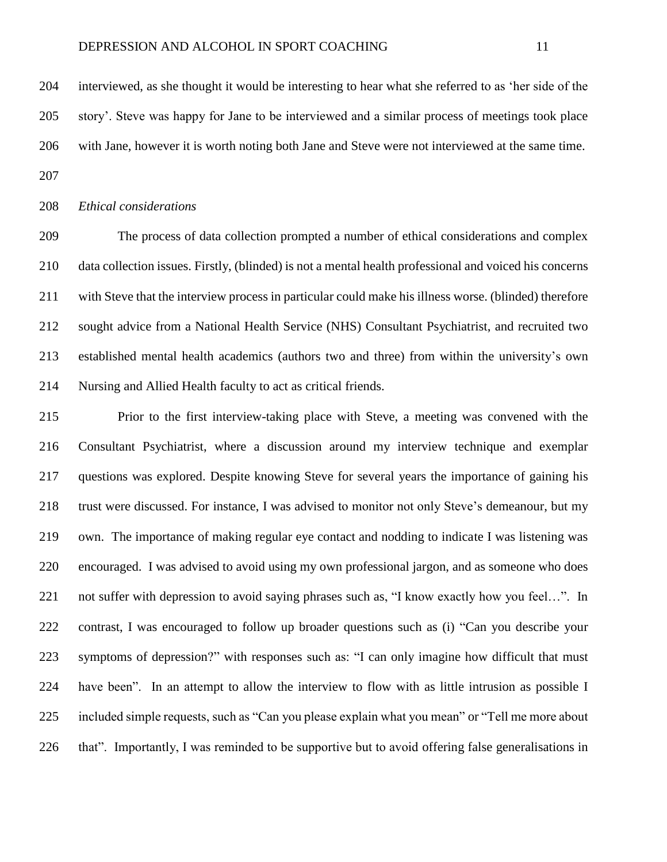interviewed, as she thought it would be interesting to hear what she referred to as 'her side of the story'. Steve was happy for Jane to be interviewed and a similar process of meetings took place with Jane, however it is worth noting both Jane and Steve were not interviewed at the same time.

### *Ethical considerations*

 The process of data collection prompted a number of ethical considerations and complex data collection issues. Firstly, (blinded) is not a mental health professional and voiced his concerns with Steve that the interview process in particular could make his illness worse. (blinded) therefore sought advice from a National Health Service (NHS) Consultant Psychiatrist, and recruited two established mental health academics (authors two and three) from within the university's own Nursing and Allied Health faculty to act as critical friends.

 Prior to the first interview-taking place with Steve, a meeting was convened with the Consultant Psychiatrist, where a discussion around my interview technique and exemplar questions was explored. Despite knowing Steve for several years the importance of gaining his trust were discussed. For instance, I was advised to monitor not only Steve's demeanour, but my own. The importance of making regular eye contact and nodding to indicate I was listening was encouraged. I was advised to avoid using my own professional jargon, and as someone who does not suffer with depression to avoid saying phrases such as, "I know exactly how you feel…". In contrast, I was encouraged to follow up broader questions such as (i) "Can you describe your symptoms of depression?" with responses such as: "I can only imagine how difficult that must have been". In an attempt to allow the interview to flow with as little intrusion as possible I included simple requests, such as "Can you please explain what you mean" or "Tell me more about that". Importantly, I was reminded to be supportive but to avoid offering false generalisations in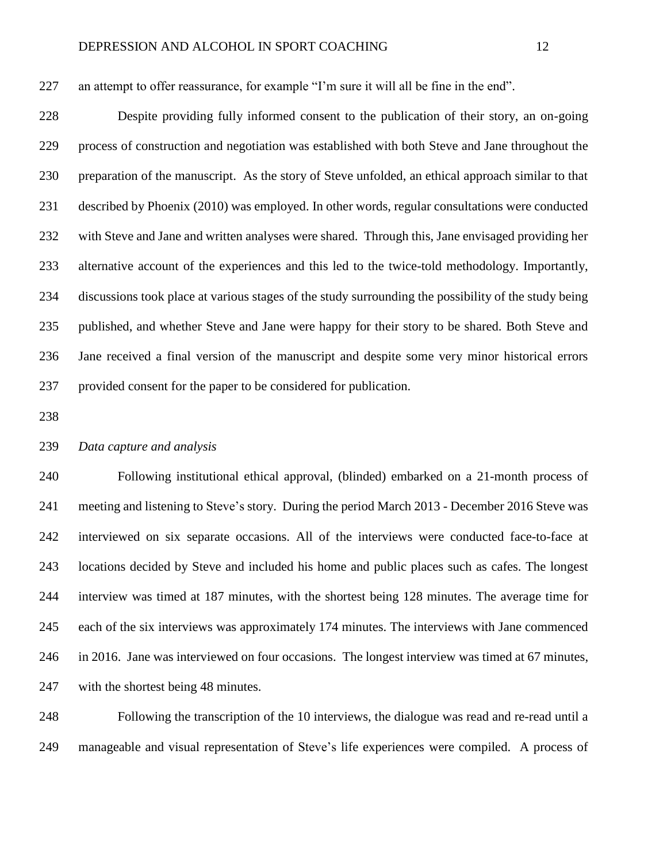an attempt to offer reassurance, for example "I'm sure it will all be fine in the end".

 Despite providing fully informed consent to the publication of their story, an on-going process of construction and negotiation was established with both Steve and Jane throughout the preparation of the manuscript. As the story of Steve unfolded, an ethical approach similar to that described by Phoenix (2010) was employed. In other words, regular consultations were conducted with Steve and Jane and written analyses were shared. Through this, Jane envisaged providing her alternative account of the experiences and this led to the twice-told methodology. Importantly, discussions took place at various stages of the study surrounding the possibility of the study being published, and whether Steve and Jane were happy for their story to be shared. Both Steve and Jane received a final version of the manuscript and despite some very minor historical errors provided consent for the paper to be considered for publication.

### *Data capture and analysis*

 Following institutional ethical approval, (blinded) embarked on a 21-month process of meeting and listening to Steve's story. During the period March 2013 - December 2016 Steve was interviewed on six separate occasions. All of the interviews were conducted face-to-face at locations decided by Steve and included his home and public places such as cafes. The longest interview was timed at 187 minutes, with the shortest being 128 minutes. The average time for each of the six interviews was approximately 174 minutes. The interviews with Jane commenced in 2016. Jane was interviewed on four occasions. The longest interview was timed at 67 minutes, with the shortest being 48 minutes.

 Following the transcription of the 10 interviews, the dialogue was read and re-read until a manageable and visual representation of Steve's life experiences were compiled. A process of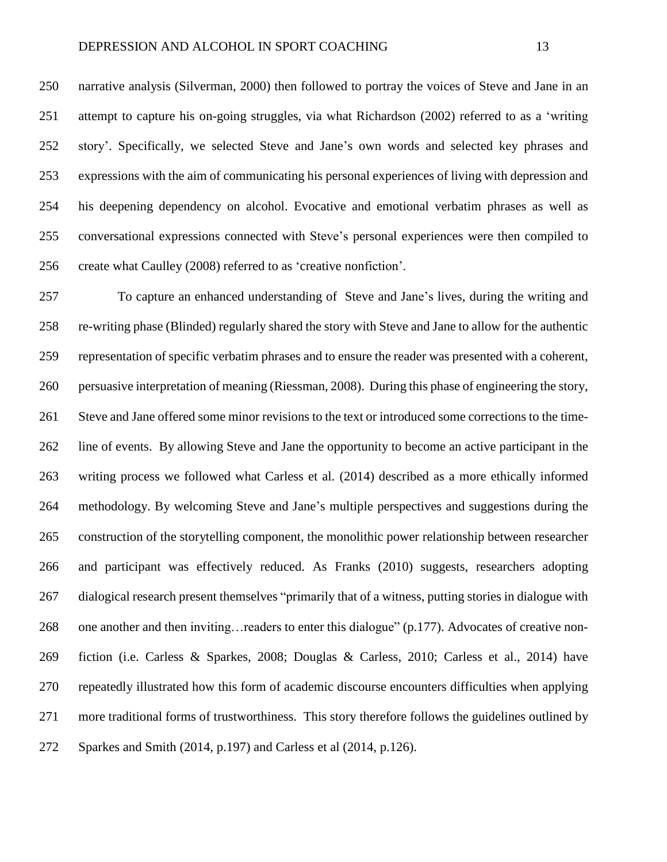narrative analysis (Silverman, 2000) then followed to portray the voices of Steve and Jane in an attempt to capture his on-going struggles, via what Richardson (2002) referred to as a 'writing story'. Specifically, we selected Steve and Jane's own words and selected key phrases and expressions with the aim of communicating his personal experiences of living with depression and his deepening dependency on alcohol. Evocative and emotional verbatim phrases as well as conversational expressions connected with Steve's personal experiences were then compiled to create what Caulley (2008) referred to as 'creative nonfiction'.

 To capture an enhanced understanding of Steve and Jane's lives, during the writing and re-writing phase (Blinded) regularly shared the story with Steve and Jane to allow for the authentic representation of specific verbatim phrases and to ensure the reader was presented with a coherent, persuasive interpretation of meaning (Riessman, 2008). During this phase of engineering the story, Steve and Jane offered some minor revisions to the text or introduced some corrections to the time- line of events. By allowing Steve and Jane the opportunity to become an active participant in the writing process we followed what Carless et al. (2014) described as a more ethically informed methodology. By welcoming Steve and Jane's multiple perspectives and suggestions during the construction of the storytelling component, the monolithic power relationship between researcher and participant was effectively reduced. As Franks (2010) suggests, researchers adopting dialogical research present themselves "primarily that of a witness, putting stories in dialogue with 268 one another and then inviting…readers to enter this dialogue" (p.177). Advocates of creative non- fiction (i.e. Carless & Sparkes, 2008; Douglas & Carless, 2010; Carless et al., 2014) have repeatedly illustrated how this form of academic discourse encounters difficulties when applying more traditional forms of trustworthiness. This story therefore follows the guidelines outlined by Sparkes and Smith (2014, p.197) and Carless et al (2014, p.126).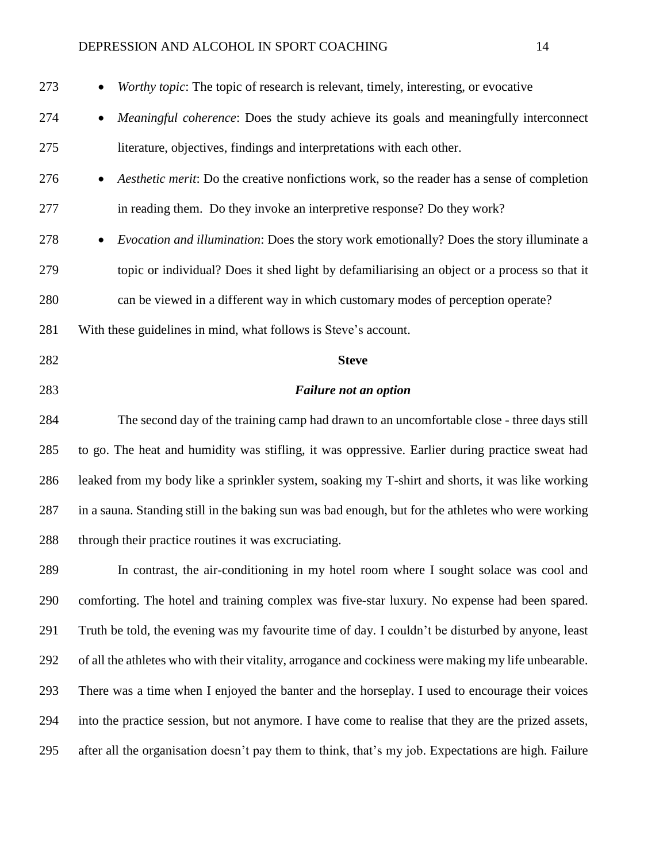| 273 | Worthy topic: The topic of research is relevant, timely, interesting, or evocative<br>$\bullet$         |
|-----|---------------------------------------------------------------------------------------------------------|
| 274 | Meaningful coherence: Does the study achieve its goals and meaningfully interconnect<br>$\bullet$       |
| 275 | literature, objectives, findings and interpretations with each other.                                   |
| 276 | Aesthetic merit: Do the creative nonfictions work, so the reader has a sense of completion<br>$\bullet$ |
| 277 | in reading them. Do they invoke an interpretive response? Do they work?                                 |
| 278 | Evocation and illumination: Does the story work emotionally? Does the story illuminate a<br>$\bullet$   |
| 279 | topic or individual? Does it shed light by defamiliarising an object or a process so that it            |
| 280 | can be viewed in a different way in which customary modes of perception operate?                        |
| 281 | With these guidelines in mind, what follows is Steve's account.                                         |
| 282 | <b>Steve</b>                                                                                            |
| 283 | <b>Failure not an option</b>                                                                            |
| 284 | The second day of the training camp had drawn to an uncomfortable close - three days still              |
| 285 | to go. The heat and humidity was stifling, it was oppressive. Earlier during practice sweat had         |
| 286 | leaked from my body like a sprinkler system, soaking my T-shirt and shorts, it was like working         |
| 287 | in a sauna. Standing still in the baking sun was bad enough, but for the athletes who were working      |
| 288 | through their practice routines it was excruciating.                                                    |
| 289 | In contrast, the air-conditioning in my hotel room where I sought solace was cool and                   |
| 290 | comforting. The hotel and training complex was five-star luxury. No expense had been spared.            |
| 291 | Truth be told, the evening was my favourite time of day. I couldn't be disturbed by anyone, least       |
| 292 | of all the athletes who with their vitality, arrogance and cockiness were making my life unbearable.    |
| 293 | There was a time when I enjoyed the banter and the horseplay. I used to encourage their voices          |

into the practice session, but not anymore. I have come to realise that they are the prized assets,

after all the organisation doesn't pay them to think, that's my job. Expectations are high. Failure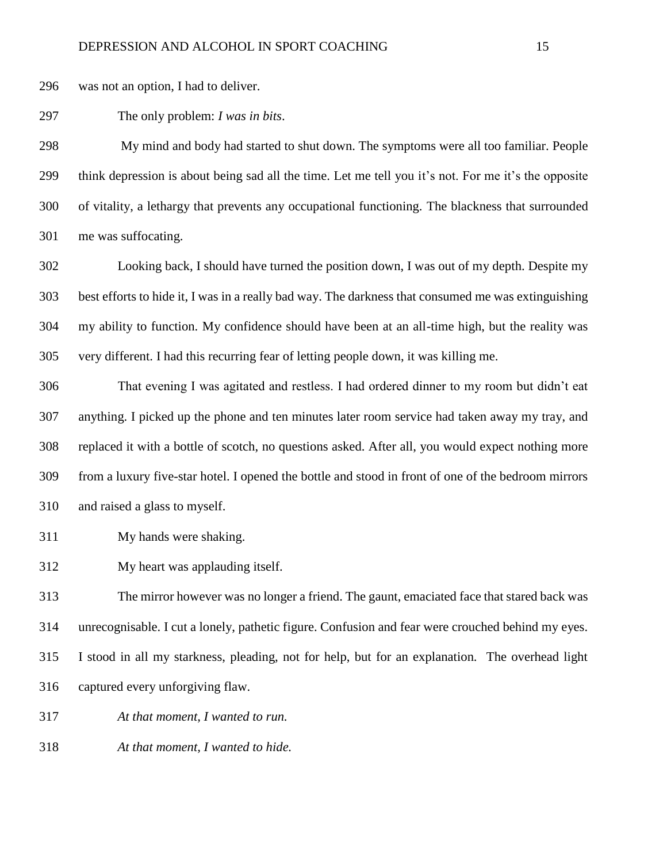was not an option, I had to deliver.

The only problem: *I was in bits*.

 My mind and body had started to shut down. The symptoms were all too familiar. People think depression is about being sad all the time. Let me tell you it's not. For me it's the opposite of vitality, a lethargy that prevents any occupational functioning. The blackness that surrounded me was suffocating.

 Looking back, I should have turned the position down, I was out of my depth. Despite my best efforts to hide it, I was in a really bad way. The darkness that consumed me was extinguishing my ability to function. My confidence should have been at an all-time high, but the reality was very different. I had this recurring fear of letting people down, it was killing me.

 That evening I was agitated and restless. I had ordered dinner to my room but didn't eat anything. I picked up the phone and ten minutes later room service had taken away my tray, and replaced it with a bottle of scotch, no questions asked. After all, you would expect nothing more from a luxury five-star hotel. I opened the bottle and stood in front of one of the bedroom mirrors and raised a glass to myself.

My hands were shaking.

My heart was applauding itself.

 The mirror however was no longer a friend. The gaunt, emaciated face that stared back was unrecognisable. I cut a lonely, pathetic figure. Confusion and fear were crouched behind my eyes. I stood in all my starkness, pleading, not for help, but for an explanation. The overhead light captured every unforgiving flaw.

*At that moment, I wanted to run.* 

*At that moment, I wanted to hide.*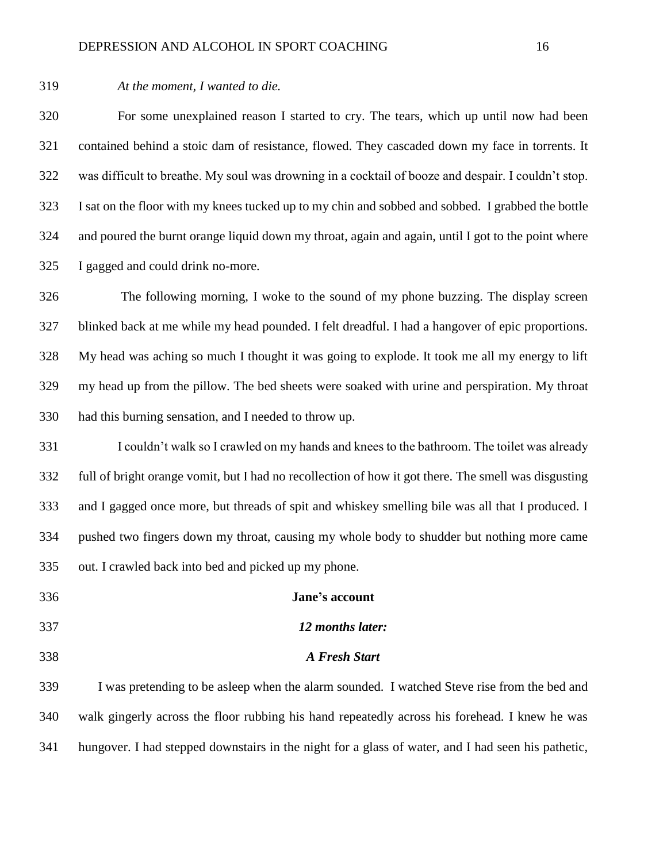### *At the moment, I wanted to die.*

 For some unexplained reason I started to cry. The tears, which up until now had been contained behind a stoic dam of resistance, flowed. They cascaded down my face in torrents. It was difficult to breathe. My soul was drowning in a cocktail of booze and despair. I couldn't stop. I sat on the floor with my knees tucked up to my chin and sobbed and sobbed. I grabbed the bottle and poured the burnt orange liquid down my throat, again and again, until I got to the point where I gagged and could drink no-more.

 The following morning, I woke to the sound of my phone buzzing. The display screen blinked back at me while my head pounded. I felt dreadful. I had a hangover of epic proportions. My head was aching so much I thought it was going to explode. It took me all my energy to lift my head up from the pillow. The bed sheets were soaked with urine and perspiration. My throat had this burning sensation, and I needed to throw up.

 I couldn't walk so I crawled on my hands and knees to the bathroom. The toilet was already full of bright orange vomit, but I had no recollection of how it got there. The smell was disgusting and I gagged once more, but threads of spit and whiskey smelling bile was all that I produced. I pushed two fingers down my throat, causing my whole body to shudder but nothing more came out. I crawled back into bed and picked up my phone.

- **Jane's account** *12 months later:*
- 
- *A Fresh Start*

 I was pretending to be asleep when the alarm sounded. I watched Steve rise from the bed and walk gingerly across the floor rubbing his hand repeatedly across his forehead. I knew he was hungover. I had stepped downstairs in the night for a glass of water, and I had seen his pathetic,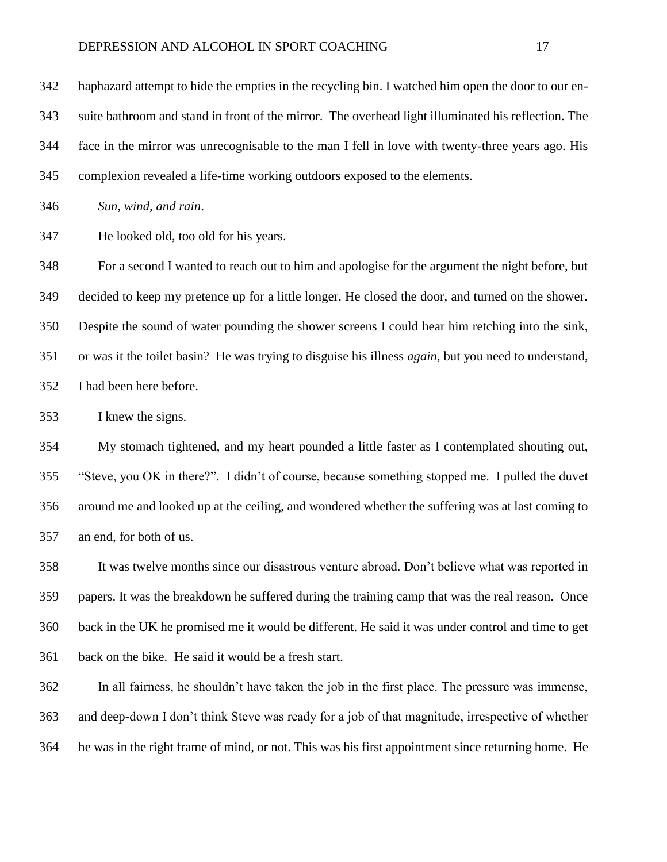haphazard attempt to hide the empties in the recycling bin. I watched him open the door to our en- suite bathroom and stand in front of the mirror. The overhead light illuminated his reflection. The face in the mirror was unrecognisable to the man I fell in love with twenty-three years ago. His complexion revealed a life-time working outdoors exposed to the elements.

*Sun, wind, and rain*.

He looked old, too old for his years.

 For a second I wanted to reach out to him and apologise for the argument the night before, but decided to keep my pretence up for a little longer. He closed the door, and turned on the shower. Despite the sound of water pounding the shower screens I could hear him retching into the sink, or was it the toilet basin? He was trying to disguise his illness *again*, but you need to understand, I had been here before.

I knew the signs.

 My stomach tightened, and my heart pounded a little faster as I contemplated shouting out, "Steve, you OK in there?". I didn't of course, because something stopped me. I pulled the duvet around me and looked up at the ceiling, and wondered whether the suffering was at last coming to an end, for both of us.

 It was twelve months since our disastrous venture abroad. Don't believe what was reported in papers. It was the breakdown he suffered during the training camp that was the real reason. Once back in the UK he promised me it would be different. He said it was under control and time to get back on the bike. He said it would be a fresh start.

 In all fairness, he shouldn't have taken the job in the first place. The pressure was immense, and deep-down I don't think Steve was ready for a job of that magnitude, irrespective of whether he was in the right frame of mind, or not. This was his first appointment since returning home. He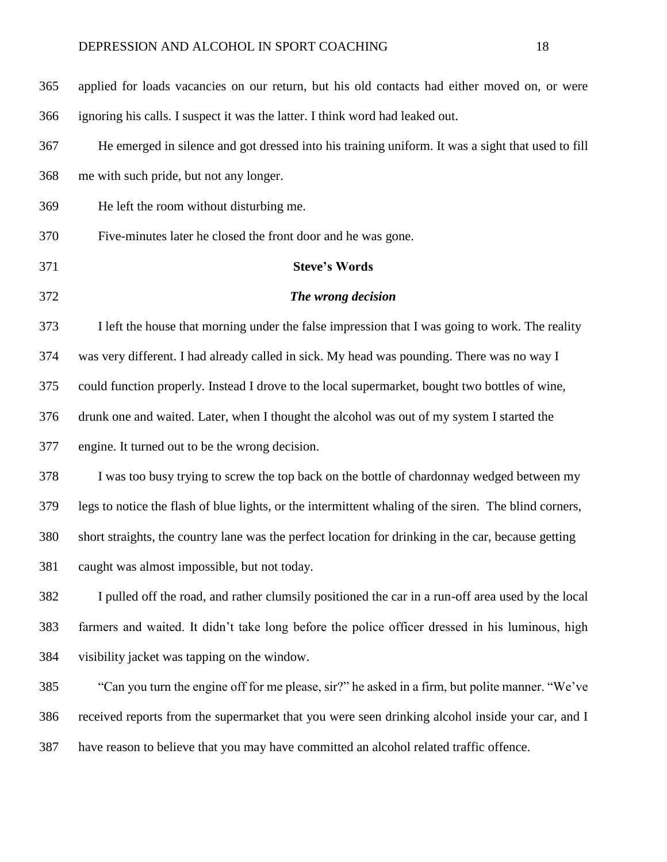| 365 | applied for loads vacancies on our return, but his old contacts had either moved on, or were          |
|-----|-------------------------------------------------------------------------------------------------------|
| 366 | ignoring his calls. I suspect it was the latter. I think word had leaked out.                         |
| 367 | He emerged in silence and got dressed into his training uniform. It was a sight that used to fill     |
| 368 | me with such pride, but not any longer.                                                               |
| 369 | He left the room without disturbing me.                                                               |
| 370 | Five-minutes later he closed the front door and he was gone.                                          |
| 371 | <b>Steve's Words</b>                                                                                  |
| 372 | The wrong decision                                                                                    |
| 373 | I left the house that morning under the false impression that I was going to work. The reality        |
| 374 | was very different. I had already called in sick. My head was pounding. There was no way I            |
| 375 | could function properly. Instead I drove to the local supermarket, bought two bottles of wine,        |
| 376 | drunk one and waited. Later, when I thought the alcohol was out of my system I started the            |
| 377 | engine. It turned out to be the wrong decision.                                                       |
| 378 | I was too busy trying to screw the top back on the bottle of chardonnay wedged between my             |
| 379 | legs to notice the flash of blue lights, or the intermittent whaling of the siren. The blind corners, |
| 380 | short straights, the country lane was the perfect location for drinking in the car, because getting   |
| 381 | caught was almost impossible, but not today.                                                          |
| 382 | I pulled off the road, and rather clumsily positioned the car in a run-off area used by the local     |
| 383 | farmers and waited. It didn't take long before the police officer dressed in his luminous, high       |
| 384 | visibility jacket was tapping on the window.                                                          |
| 385 | "Can you turn the engine off for me please, sir?" he asked in a firm, but polite manner. "We've       |
| 386 | received reports from the supermarket that you were seen drinking alcohol inside your car, and I      |
| 387 | have reason to believe that you may have committed an alcohol related traffic offence.                |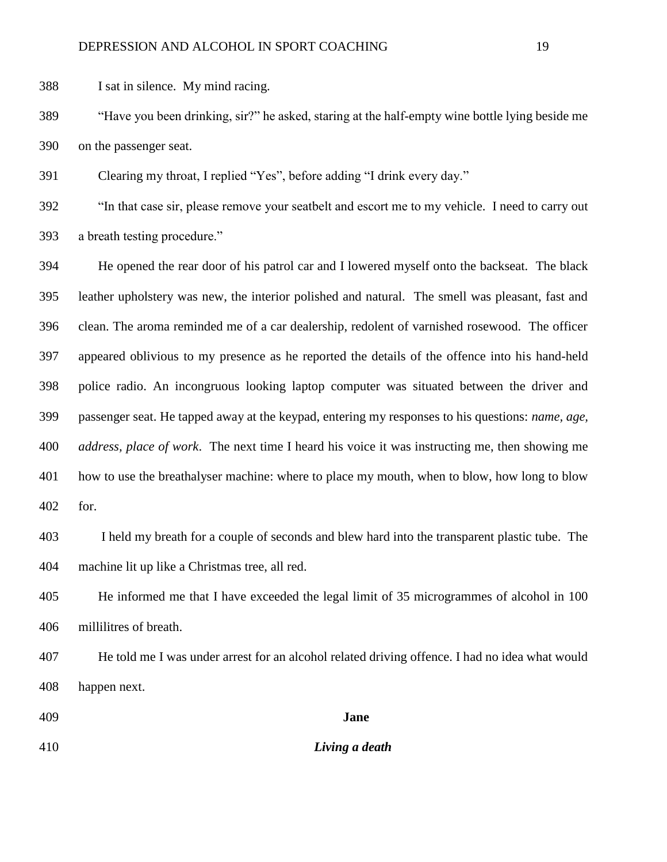I sat in silence. My mind racing.

 "Have you been drinking, sir?" he asked, staring at the half-empty wine bottle lying beside me on the passenger seat.

Clearing my throat, I replied "Yes", before adding "I drink every day."

 "In that case sir, please remove your seatbelt and escort me to my vehicle. I need to carry out a breath testing procedure."

 He opened the rear door of his patrol car and I lowered myself onto the backseat. The black leather upholstery was new, the interior polished and natural. The smell was pleasant, fast and clean. The aroma reminded me of a car dealership, redolent of varnished rosewood. The officer appeared oblivious to my presence as he reported the details of the offence into his hand-held police radio. An incongruous looking laptop computer was situated between the driver and passenger seat. He tapped away at the keypad, entering my responses to his questions: *name, age, address, place of work*. The next time I heard his voice it was instructing me, then showing me how to use the breathalyser machine: where to place my mouth, when to blow, how long to blow for.

 I held my breath for a couple of seconds and blew hard into the transparent plastic tube. The machine lit up like a Christmas tree, all red.

 He informed me that I have exceeded the legal limit of 35 microgrammes of alcohol in 100 millilitres of breath.

- He told me I was under arrest for an alcohol related driving offence. I had no idea what would happen next.
- 
- **Jane**
- *Living a death*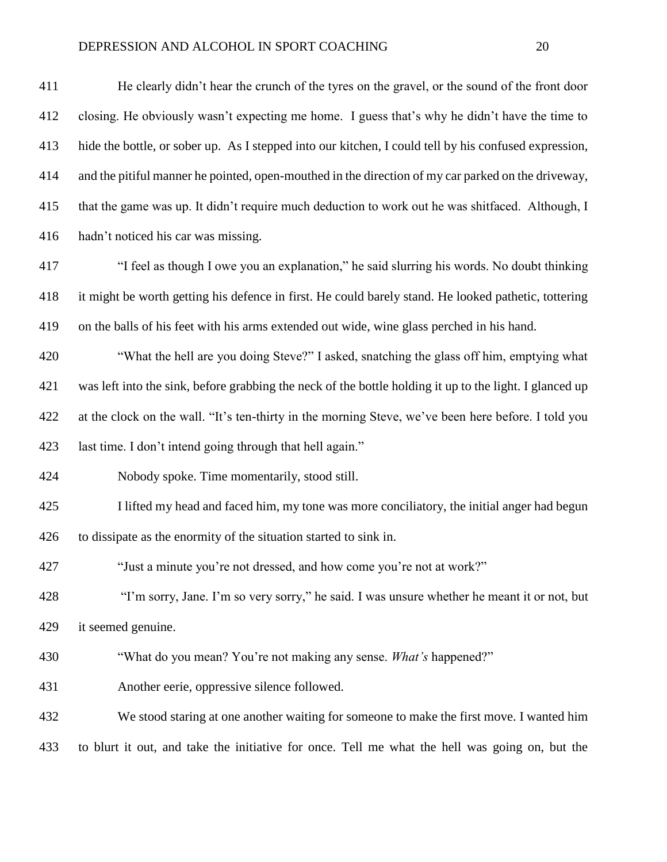He clearly didn't hear the crunch of the tyres on the gravel, or the sound of the front door closing. He obviously wasn't expecting me home. I guess that's why he didn't have the time to hide the bottle, or sober up. As I stepped into our kitchen, I could tell by his confused expression, and the pitiful manner he pointed, open-mouthed in the direction of my car parked on the driveway, that the game was up. It didn't require much deduction to work out he was shitfaced. Although, I hadn't noticed his car was missing.

 "I feel as though I owe you an explanation," he said slurring his words. No doubt thinking it might be worth getting his defence in first. He could barely stand. He looked pathetic, tottering on the balls of his feet with his arms extended out wide, wine glass perched in his hand.

 "What the hell are you doing Steve?" I asked, snatching the glass off him, emptying what was left into the sink, before grabbing the neck of the bottle holding it up to the light. I glanced up at the clock on the wall. "It's ten-thirty in the morning Steve, we've been here before. I told you 423 last time. I don't intend going through that hell again."

Nobody spoke. Time momentarily, stood still.

 I lifted my head and faced him, my tone was more conciliatory, the initial anger had begun to dissipate as the enormity of the situation started to sink in.

"Just a minute you're not dressed, and how come you're not at work?"

 "I'm sorry, Jane. I'm so very sorry," he said. I was unsure whether he meant it or not, but it seemed genuine.

"What do you mean? You're not making any sense. *What's* happened?"

Another eerie, oppressive silence followed.

 We stood staring at one another waiting for someone to make the first move. I wanted him to blurt it out, and take the initiative for once. Tell me what the hell was going on, but the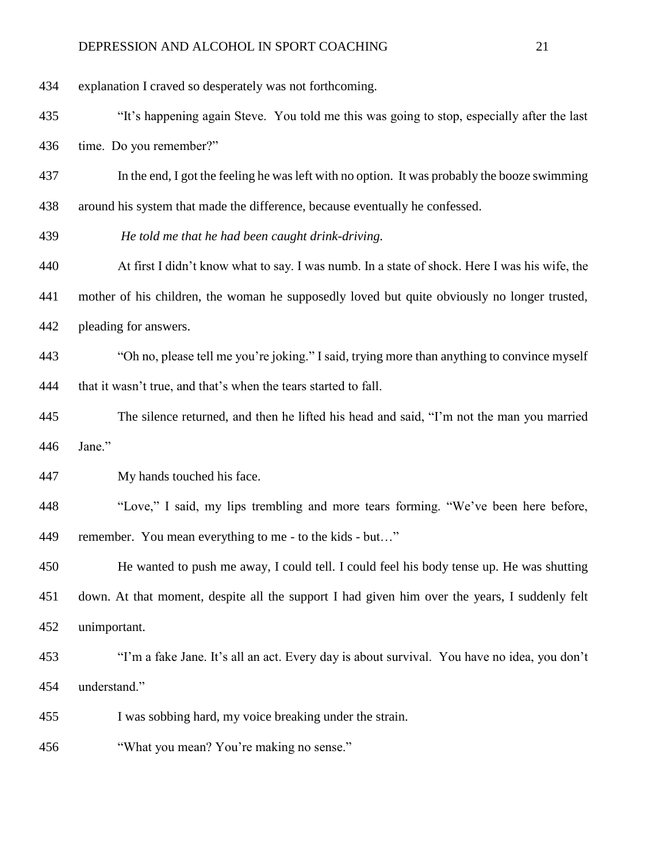explanation I craved so desperately was not forthcoming.

 "It's happening again Steve. You told me this was going to stop, especially after the last time. Do you remember?"

 In the end, I got the feeling he was left with no option. It was probably the booze swimming around his system that made the difference, because eventually he confessed.

*He told me that he had been caught drink-driving.*

 At first I didn't know what to say. I was numb. In a state of shock. Here I was his wife, the mother of his children, the woman he supposedly loved but quite obviously no longer trusted, pleading for answers.

 "Oh no, please tell me you're joking." I said, trying more than anything to convince myself that it wasn't true, and that's when the tears started to fall.

 The silence returned, and then he lifted his head and said, "I'm not the man you married Jane."

My hands touched his face.

 "Love," I said, my lips trembling and more tears forming. "We've been here before, remember. You mean everything to me - to the kids - but…"

 He wanted to push me away, I could tell. I could feel his body tense up. He was shutting down. At that moment, despite all the support I had given him over the years, I suddenly felt unimportant.

 "I'm a fake Jane. It's all an act. Every day is about survival. You have no idea, you don't understand."

I was sobbing hard, my voice breaking under the strain.

"What you mean? You're making no sense."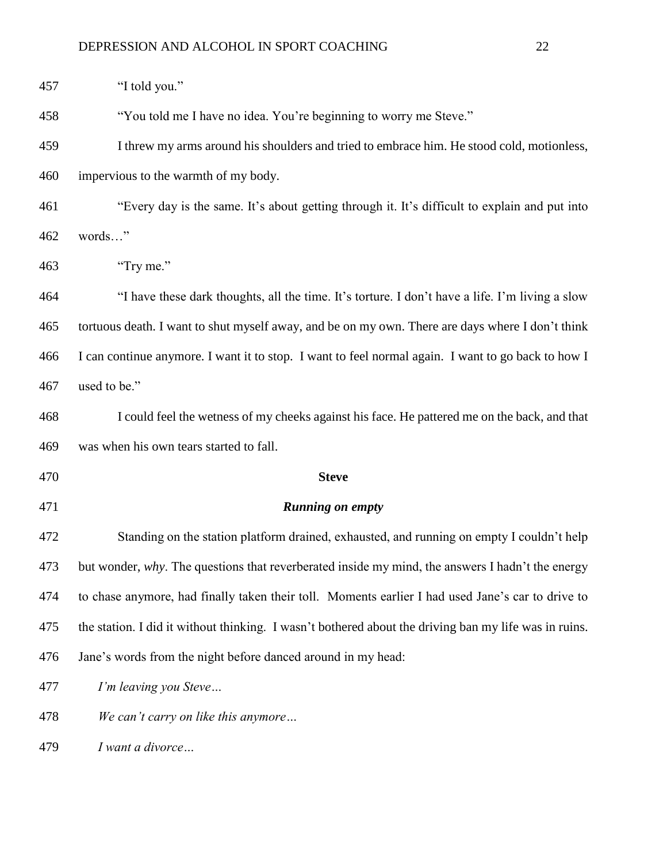| 457 | "I told you."                                                                                         |
|-----|-------------------------------------------------------------------------------------------------------|
| 458 | "You told me I have no idea. You're beginning to worry me Steve."                                     |
| 459 | I threw my arms around his shoulders and tried to embrace him. He stood cold, motionless,             |
| 460 | impervious to the warmth of my body.                                                                  |
| 461 | "Every day is the same. It's about getting through it. It's difficult to explain and put into         |
| 462 | words"                                                                                                |
| 463 | "Try me."                                                                                             |
| 464 | "I have these dark thoughts, all the time. It's torture. I don't have a life. I'm living a slow       |
| 465 | tortuous death. I want to shut myself away, and be on my own. There are days where I don't think      |
| 466 | I can continue anymore. I want it to stop. I want to feel normal again. I want to go back to how I    |
| 467 | used to be."                                                                                          |
| 468 | I could feel the wetness of my cheeks against his face. He pattered me on the back, and that          |
| 469 | was when his own tears started to fall.                                                               |
| 470 | <b>Steve</b>                                                                                          |
| 471 | Running on empty                                                                                      |
| 472 | Standing on the station platform drained, exhausted, and running on empty I couldn't help             |
| 473 | but wonder, why. The questions that reverberated inside my mind, the answers I hadn't the energy      |
| 474 | to chase anymore, had finally taken their toll. Moments earlier I had used Jane's car to drive to     |
| 475 | the station. I did it without thinking. I wasn't bothered about the driving ban my life was in ruins. |
| 476 | Jane's words from the night before danced around in my head:                                          |
| 477 | I'm leaving you Steve                                                                                 |
| 478 | We can't carry on like this anymore                                                                   |
| 479 | I want a divorce                                                                                      |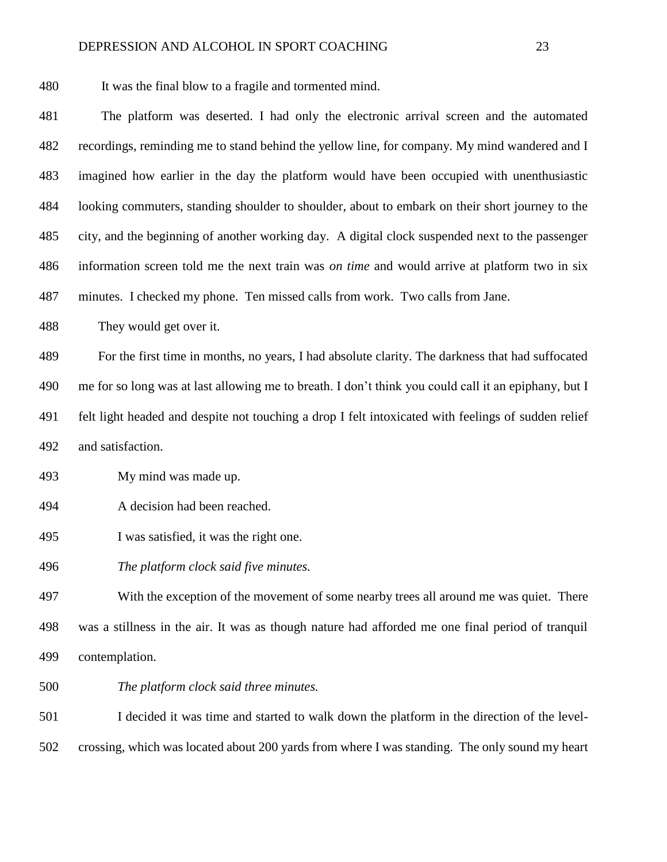It was the final blow to a fragile and tormented mind.

 The platform was deserted. I had only the electronic arrival screen and the automated recordings, reminding me to stand behind the yellow line, for company. My mind wandered and I imagined how earlier in the day the platform would have been occupied with unenthusiastic looking commuters, standing shoulder to shoulder, about to embark on their short journey to the city, and the beginning of another working day. A digital clock suspended next to the passenger information screen told me the next train was *on time* and would arrive at platform two in six minutes. I checked my phone. Ten missed calls from work. Two calls from Jane.

They would get over it.

 For the first time in months, no years, I had absolute clarity. The darkness that had suffocated me for so long was at last allowing me to breath. I don't think you could call it an epiphany, but I felt light headed and despite not touching a drop I felt intoxicated with feelings of sudden relief and satisfaction.

My mind was made up.

A decision had been reached.

I was satisfied, it was the right one.

*The platform clock said five minutes.* 

 With the exception of the movement of some nearby trees all around me was quiet. There was a stillness in the air. It was as though nature had afforded me one final period of tranquil contemplation.

*The platform clock said three minutes.* 

 I decided it was time and started to walk down the platform in the direction of the level-crossing, which was located about 200 yards from where I was standing. The only sound my heart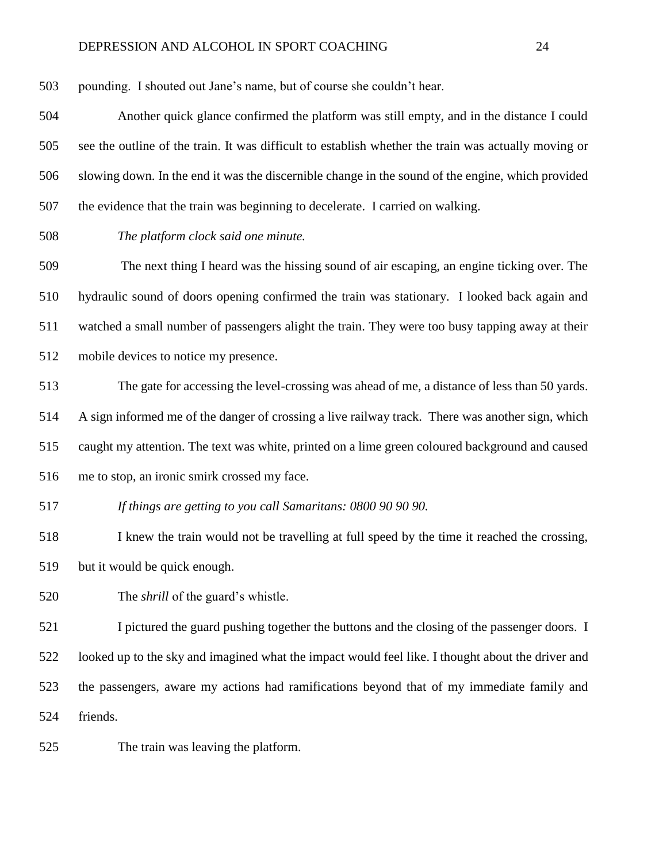pounding. I shouted out Jane's name, but of course she couldn't hear.

 Another quick glance confirmed the platform was still empty, and in the distance I could see the outline of the train. It was difficult to establish whether the train was actually moving or slowing down. In the end it was the discernible change in the sound of the engine, which provided the evidence that the train was beginning to decelerate. I carried on walking.

*The platform clock said one minute.* 

 The next thing I heard was the hissing sound of air escaping, an engine ticking over. The hydraulic sound of doors opening confirmed the train was stationary. I looked back again and watched a small number of passengers alight the train. They were too busy tapping away at their mobile devices to notice my presence.

 The gate for accessing the level-crossing was ahead of me, a distance of less than 50 yards. A sign informed me of the danger of crossing a live railway track. There was another sign, which caught my attention. The text was white, printed on a lime green coloured background and caused me to stop, an ironic smirk crossed my face.

*If things are getting to you call Samaritans: 0800 90 90 90.* 

 I knew the train would not be travelling at full speed by the time it reached the crossing, but it would be quick enough.

The *shrill* of the guard's whistle.

 I pictured the guard pushing together the buttons and the closing of the passenger doors. I looked up to the sky and imagined what the impact would feel like. I thought about the driver and the passengers, aware my actions had ramifications beyond that of my immediate family and friends.

The train was leaving the platform.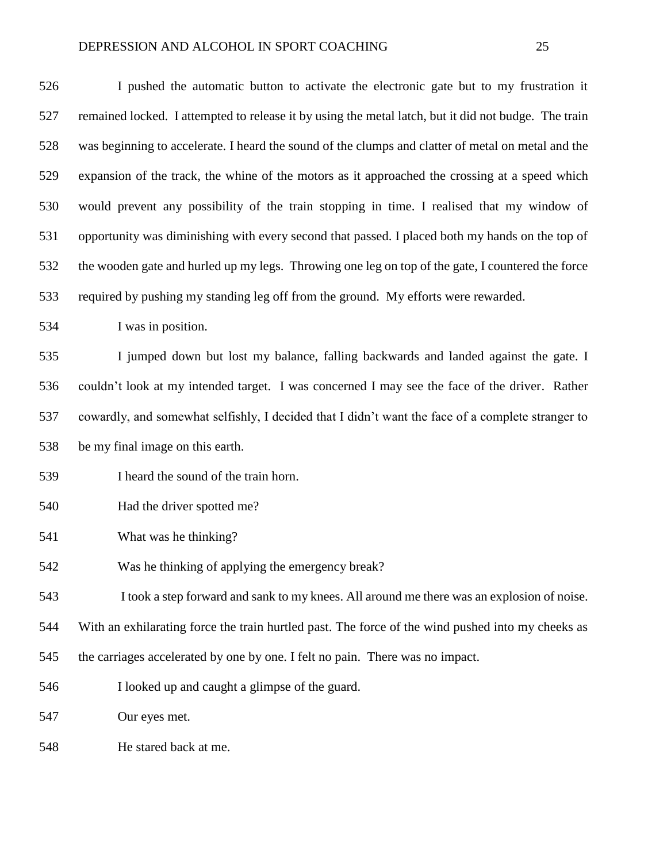| 526 | I pushed the automatic button to activate the electronic gate but to my frustration it               |
|-----|------------------------------------------------------------------------------------------------------|
| 527 | remained locked. I attempted to release it by using the metal latch, but it did not budge. The train |
| 528 | was beginning to accelerate. I heard the sound of the clumps and clatter of metal on metal and the   |
| 529 | expansion of the track, the whine of the motors as it approached the crossing at a speed which       |
| 530 | would prevent any possibility of the train stopping in time. I realised that my window of            |
| 531 | opportunity was diminishing with every second that passed. I placed both my hands on the top of      |
| 532 | the wooden gate and hurled up my legs. Throwing one leg on top of the gate, I countered the force    |
| 533 | required by pushing my standing leg off from the ground. My efforts were rewarded.                   |
| 534 | I was in position.                                                                                   |
| 535 | I jumped down but lost my balance, falling backwards and landed against the gate. I                  |
| 536 | couldn't look at my intended target. I was concerned I may see the face of the driver. Rather        |
| 537 | cowardly, and somewhat selfishly, I decided that I didn't want the face of a complete stranger to    |
| 538 | be my final image on this earth.                                                                     |
| 539 | I heard the sound of the train horn.                                                                 |
| 540 | Had the driver spotted me?                                                                           |
| 541 | What was he thinking?                                                                                |
| 542 | Was he thinking of applying the emergency break?                                                     |
| 543 | I took a step forward and sank to my knees. All around me there was an explosion of noise.           |
| 544 | With an exhilarating force the train hurtled past. The force of the wind pushed into my cheeks as    |
|     |                                                                                                      |

- the carriages accelerated by one by one. I felt no pain. There was no impact.
- I looked up and caught a glimpse of the guard.

Our eyes met.

He stared back at me.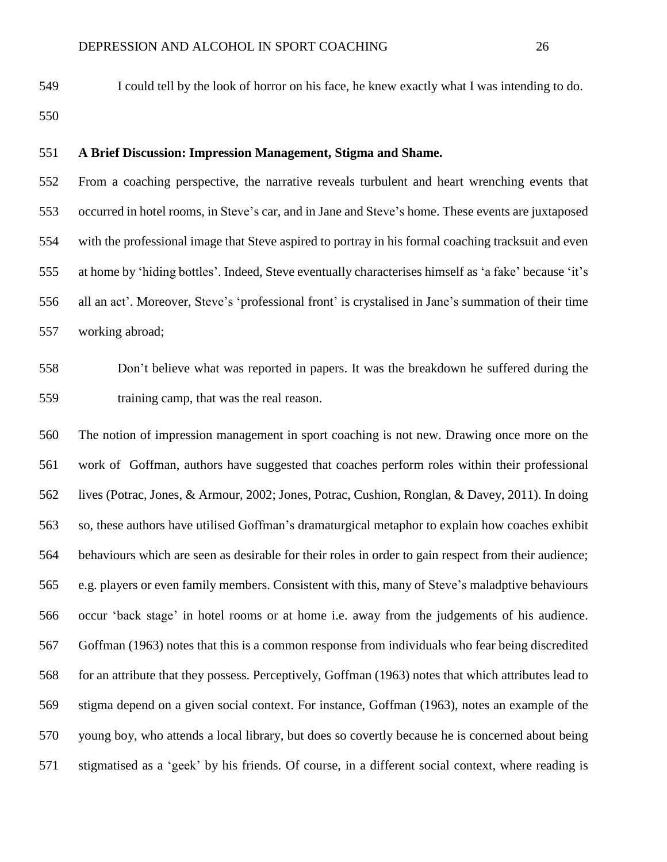I could tell by the look of horror on his face, he knew exactly what I was intending to do.

### **A Brief Discussion: Impression Management, Stigma and Shame.**

 From a coaching perspective, the narrative reveals turbulent and heart wrenching events that occurred in hotel rooms, in Steve's car, and in Jane and Steve's home. These events are juxtaposed with the professional image that Steve aspired to portray in his formal coaching tracksuit and even at home by 'hiding bottles'. Indeed, Steve eventually characterises himself as 'a fake' because 'it's all an act'. Moreover, Steve's 'professional front' is crystalised in Jane's summation of their time working abroad;

 Don't believe what was reported in papers. It was the breakdown he suffered during the training camp, that was the real reason.

 The notion of impression management in sport coaching is not new. Drawing once more on the work of Goffman, authors have suggested that coaches perform roles within their professional lives (Potrac, Jones, & Armour, 2002; Jones, Potrac, Cushion, Ronglan, & Davey, 2011). In doing so, these authors have utilised Goffman's dramaturgical metaphor to explain how coaches exhibit behaviours which are seen as desirable for their roles in order to gain respect from their audience; e.g. players or even family members. Consistent with this, many of Steve's maladptive behaviours occur 'back stage' in hotel rooms or at home i.e. away from the judgements of his audience. Goffman (1963) notes that this is a common response from individuals who fear being discredited for an attribute that they possess. Perceptively, Goffman (1963) notes that which attributes lead to stigma depend on a given social context. For instance, Goffman (1963), notes an example of the young boy, who attends a local library, but does so covertly because he is concerned about being stigmatised as a 'geek' by his friends. Of course, in a different social context, where reading is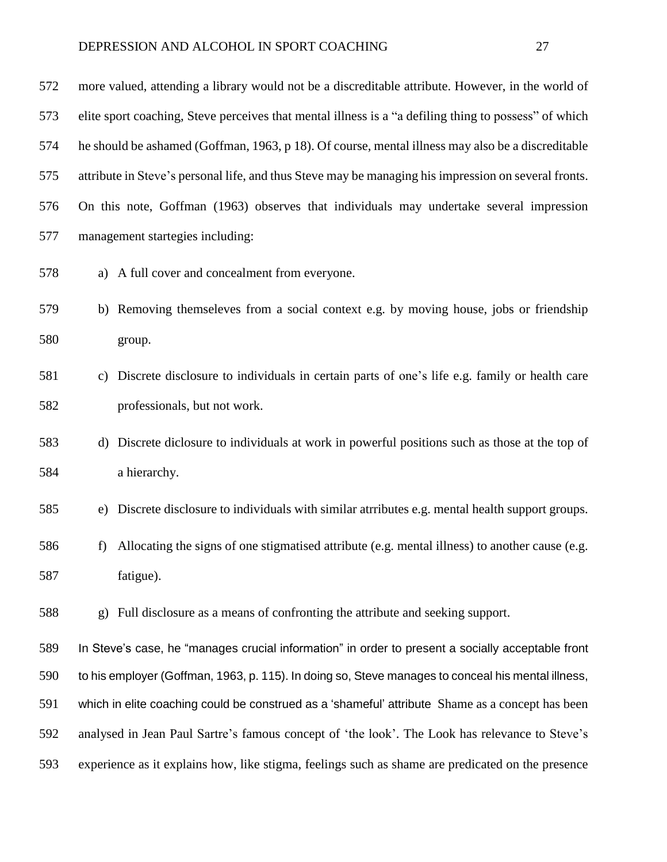| 572 | more valued, attending a library would not be a discreditable attribute. However, in the world of     |
|-----|-------------------------------------------------------------------------------------------------------|
| 573 | elite sport coaching, Steve perceives that mental illness is a "a defiling thing to possess" of which |
| 574 | he should be ashamed (Goffman, 1963, p 18). Of course, mental illness may also be a discreditable     |
| 575 | attribute in Steve's personal life, and thus Steve may be managing his impression on several fronts.  |
| 576 | On this note, Goffman (1963) observes that individuals may undertake several impression               |
| 577 | management startegies including:                                                                      |
| 578 | a) A full cover and concealment from everyone.                                                        |
| 579 | b) Removing themseleves from a social context e.g. by moving house, jobs or friendship                |
| 580 | group.                                                                                                |
| 581 | Discrete disclosure to individuals in certain parts of one's life e.g. family or health care<br>C)    |
| 582 | professionals, but not work.                                                                          |
| 583 | Discrete diclosure to individuals at work in powerful positions such as those at the top of<br>d)     |
| 584 | a hierarchy.                                                                                          |
| 585 | Discrete disclosure to individuals with similar atrributes e.g. mental health support groups.<br>e)   |
| 586 | Allocating the signs of one stigmatised attribute (e.g. mental illness) to another cause (e.g.<br>f)  |
| 587 | fatigue).                                                                                             |
| 588 | Full disclosure as a means of confronting the attribute and seeking support.<br>$\mathbf{g}$ )        |
| 589 | In Steve's case, he "manages crucial information" in order to present a socially acceptable front     |
| 590 | to his employer (Goffman, 1963, p. 115). In doing so, Steve manages to conceal his mental illness,    |
| 591 | which in elite coaching could be construed as a 'shameful' attribute Shame as a concept has been      |
| 592 | analysed in Jean Paul Sartre's famous concept of 'the look'. The Look has relevance to Steve's        |
| 593 | experience as it explains how, like stigma, feelings such as shame are predicated on the presence     |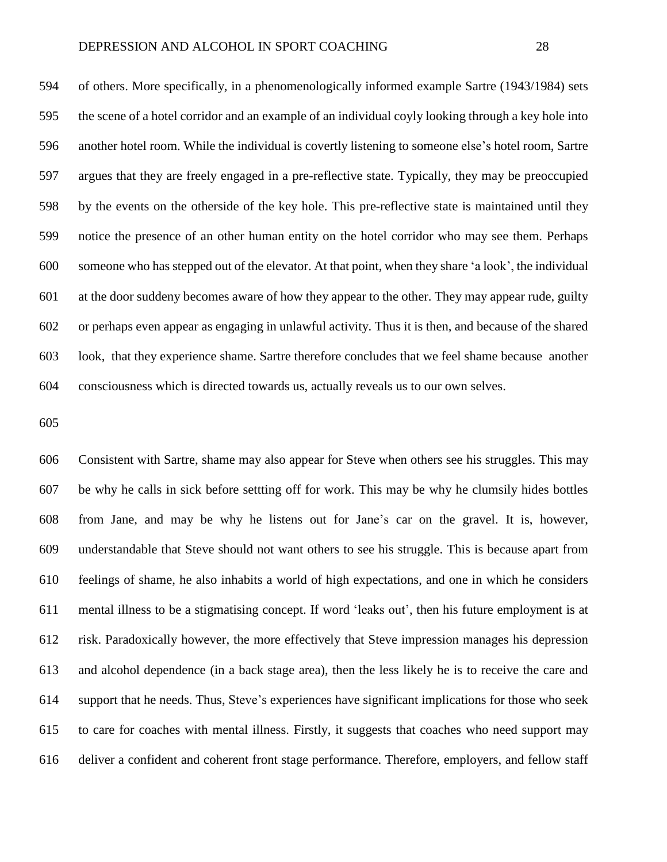of others. More specifically, in a phenomenologically informed example Sartre (1943/1984) sets the scene of a hotel corridor and an example of an individual coyly looking through a key hole into another hotel room. While the individual is covertly listening to someone else's hotel room, Sartre argues that they are freely engaged in a pre-reflective state. Typically, they may be preoccupied by the events on the otherside of the key hole. This pre-reflective state is maintained until they notice the presence of an other human entity on the hotel corridor who may see them. Perhaps someone who has stepped out of the elevator. At that point, when they share 'a look', the individual at the door suddeny becomes aware of how they appear to the other. They may appear rude, guilty or perhaps even appear as engaging in unlawful activity. Thus it is then, and because of the shared look, that they experience shame. Sartre therefore concludes that we feel shame because another consciousness which is directed towards us, actually reveals us to our own selves.

 Consistent with Sartre, shame may also appear for Steve when others see his struggles. This may be why he calls in sick before settting off for work. This may be why he clumsily hides bottles from Jane, and may be why he listens out for Jane's car on the gravel. It is, however, understandable that Steve should not want others to see his struggle. This is because apart from feelings of shame, he also inhabits a world of high expectations, and one in which he considers mental illness to be a stigmatising concept. If word 'leaks out', then his future employment is at risk. Paradoxically however, the more effectively that Steve impression manages his depression and alcohol dependence (in a back stage area), then the less likely he is to receive the care and support that he needs. Thus, Steve's experiences have significant implications for those who seek to care for coaches with mental illness. Firstly, it suggests that coaches who need support may deliver a confident and coherent front stage performance. Therefore, employers, and fellow staff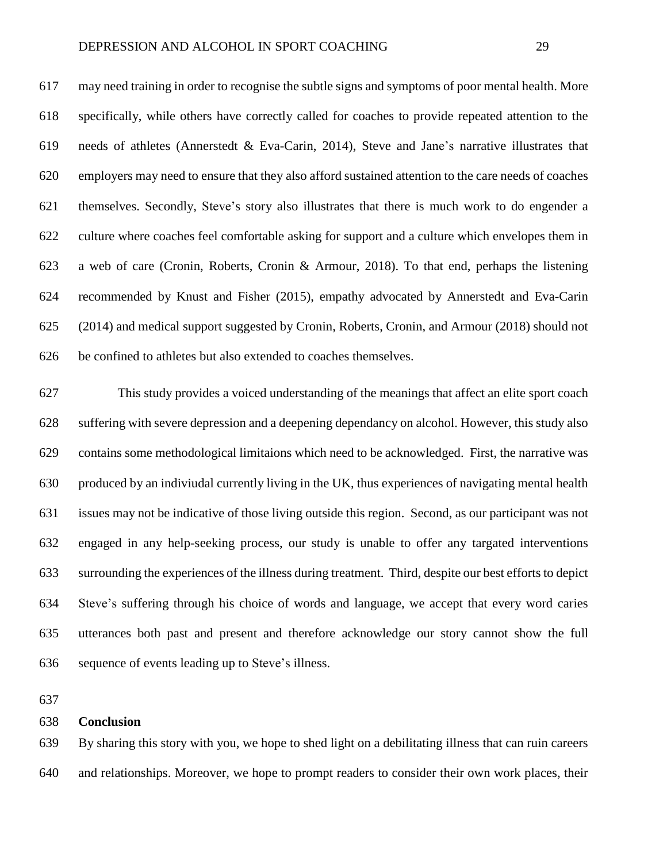may need training in order to recognise the subtle signs and symptoms of poor mental health. More specifically, while others have correctly called for coaches to provide repeated attention to the needs of athletes (Annerstedt & Eva-Carin, 2014), Steve and Jane's narrative illustrates that employers may need to ensure that they also afford sustained attention to the care needs of coaches themselves. Secondly, Steve's story also illustrates that there is much work to do engender a culture where coaches feel comfortable asking for support and a culture which envelopes them in a web of care (Cronin, Roberts, Cronin & Armour, 2018). To that end, perhaps the listening recommended by Knust and Fisher (2015), empathy advocated by Annerstedt and Eva-Carin (2014) and medical support suggested by Cronin, Roberts, Cronin, and Armour (2018) should not be confined to athletes but also extended to coaches themselves.

 This study provides a voiced understanding of the meanings that affect an elite sport coach suffering with severe depression and a deepening dependancy on alcohol. However, this study also contains some methodological limitaions which need to be acknowledged. First, the narrative was produced by an indiviudal currently living in the UK, thus experiences of navigating mental health issues may not be indicative of those living outside this region. Second, as our participant was not engaged in any help-seeking process, our study is unable to offer any targated interventions 633 surrounding the experiences of the illness during treatment. Third, despite our best efforts to depict Steve's suffering through his choice of words and language, we accept that every word caries utterances both past and present and therefore acknowledge our story cannot show the full sequence of events leading up to Steve's illness.

### **Conclusion**

 By sharing this story with you, we hope to shed light on a debilitating illness that can ruin careers and relationships. Moreover, we hope to prompt readers to consider their own work places, their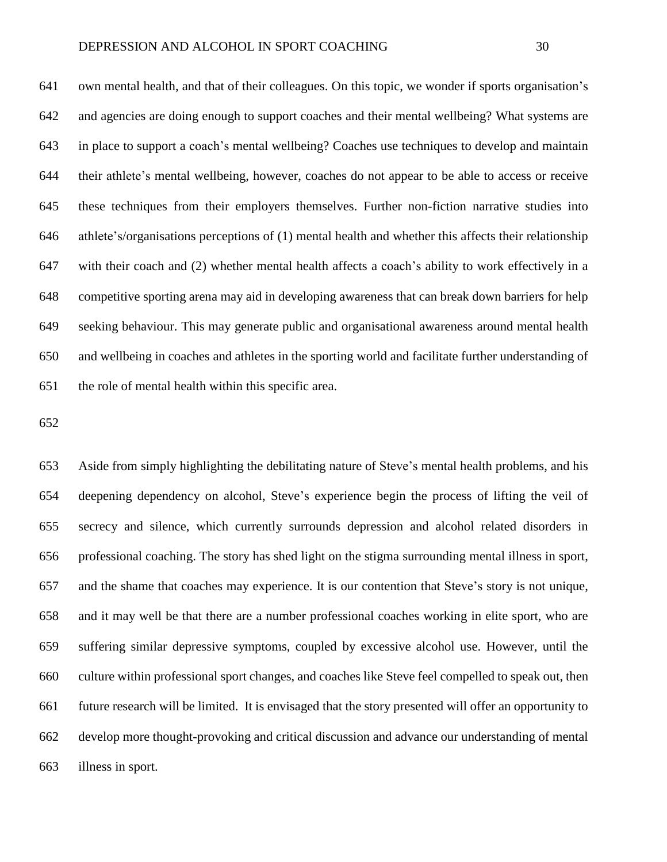own mental health, and that of their colleagues. On this topic, we wonder if sports organisation's and agencies are doing enough to support coaches and their mental wellbeing? What systems are in place to support a coach's mental wellbeing? Coaches use techniques to develop and maintain their athlete's mental wellbeing, however, coaches do not appear to be able to access or receive these techniques from their employers themselves. Further non-fiction narrative studies into athlete's/organisations perceptions of (1) mental health and whether this affects their relationship with their coach and (2) whether mental health affects a coach's ability to work effectively in a competitive sporting arena may aid in developing awareness that can break down barriers for help seeking behaviour. This may generate public and organisational awareness around mental health and wellbeing in coaches and athletes in the sporting world and facilitate further understanding of the role of mental health within this specific area.

 Aside from simply highlighting the debilitating nature of Steve's mental health problems, and his deepening dependency on alcohol, Steve's experience begin the process of lifting the veil of secrecy and silence, which currently surrounds depression and alcohol related disorders in professional coaching. The story has shed light on the stigma surrounding mental illness in sport, and the shame that coaches may experience. It is our contention that Steve's story is not unique, and it may well be that there are a number professional coaches working in elite sport, who are suffering similar depressive symptoms, coupled by excessive alcohol use. However, until the culture within professional sport changes, and coaches like Steve feel compelled to speak out, then future research will be limited. It is envisaged that the story presented will offer an opportunity to develop more thought-provoking and critical discussion and advance our understanding of mental illness in sport.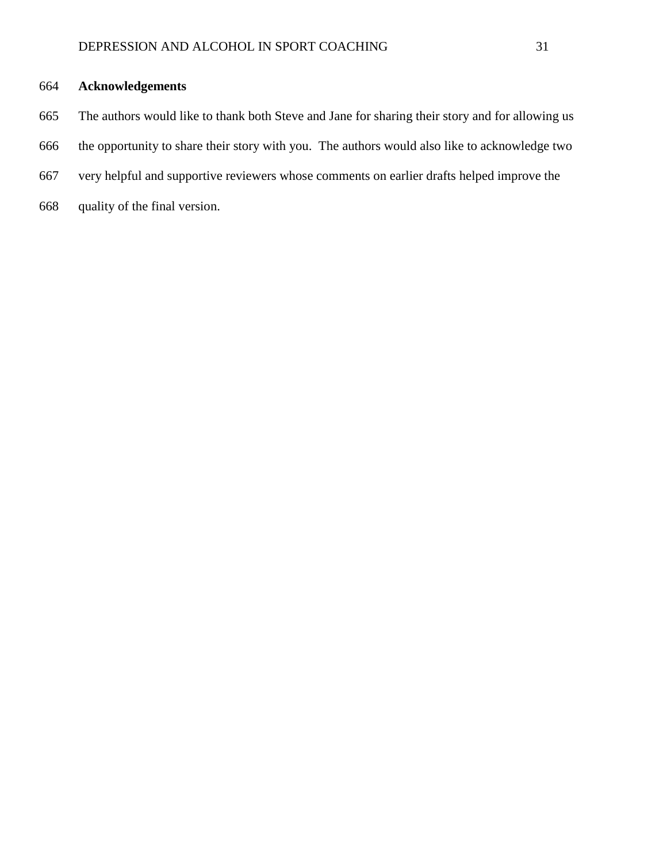# **Acknowledgements**

- The authors would like to thank both Steve and Jane for sharing their story and for allowing us
- the opportunity to share their story with you. The authors would also like to acknowledge two
- very helpful and supportive reviewers whose comments on earlier drafts helped improve the
- quality of the final version.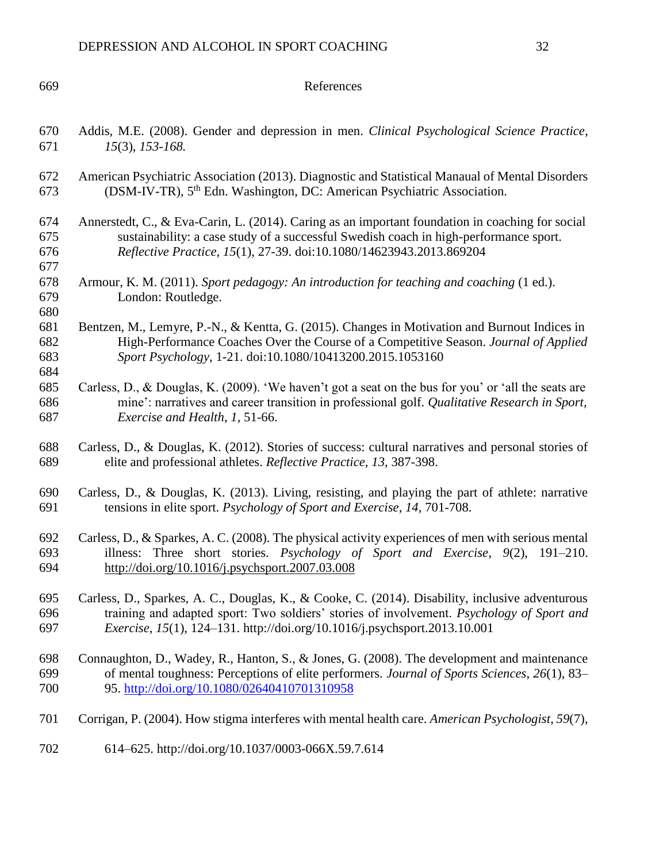| 669                      | References                                                                                                                                                                                                                                                       |
|--------------------------|------------------------------------------------------------------------------------------------------------------------------------------------------------------------------------------------------------------------------------------------------------------|
| 670                      | Addis, M.E. (2008). Gender and depression in men. Clinical Psychological Science Practice,                                                                                                                                                                       |
| 671                      | $15(3)$ , $153-168$ .                                                                                                                                                                                                                                            |
| 672                      | American Psychiatric Association (2013). Diagnostic and Statistical Manaual of Mental Disorders                                                                                                                                                                  |
| 673                      | (DSM-IV-TR), 5 <sup>th</sup> Edn. Washington, DC: American Psychiatric Association.                                                                                                                                                                              |
| 674<br>675<br>676<br>677 | Annerstedt, C., & Eva-Carin, L. (2014). Caring as an important foundation in coaching for social<br>sustainability: a case study of a successful Swedish coach in high-performance sport.<br>Reflective Practice, 15(1), 27-39. doi:10.1080/14623943.2013.869204 |
| 678<br>679<br>680        | Armour, K. M. (2011). Sport pedagogy: An introduction for teaching and coaching (1 ed.).<br>London: Routledge.                                                                                                                                                   |
| 681<br>682<br>683<br>684 | Bentzen, M., Lemyre, P.-N., & Kentta, G. (2015). Changes in Motivation and Burnout Indices in<br>High-Performance Coaches Over the Course of a Competitive Season. Journal of Applied<br>Sport Psychology, 1-21. doi:10.1080/10413200.2015.1053160               |
| 685                      | Carless, D., & Douglas, K. (2009). 'We haven't got a seat on the bus for you' or 'all the seats are                                                                                                                                                              |
| 686                      | mine': narratives and career transition in professional golf. Qualitative Research in Sport,                                                                                                                                                                     |
| 687                      | Exercise and Health, 1, 51-66.                                                                                                                                                                                                                                   |
| 688                      | Carless, D., & Douglas, K. (2012). Stories of success: cultural narratives and personal stories of                                                                                                                                                               |
| 689                      | elite and professional athletes. Reflective Practice, 13, 387-398.                                                                                                                                                                                               |
| 690                      | Carless, D., & Douglas, K. (2013). Living, resisting, and playing the part of athlete: narrative                                                                                                                                                                 |
| 691                      | tensions in elite sport. Psychology of Sport and Exercise, 14, 701-708.                                                                                                                                                                                          |
| 692                      | Carless, D., & Sparkes, A. C. (2008). The physical activity experiences of men with serious mental                                                                                                                                                               |
| 693                      | illness: Three short stories. Psychology of Sport and Exercise, 9(2), 191-210.                                                                                                                                                                                   |
| 694                      | http://doi.org/10.1016/j.psychsport.2007.03.008                                                                                                                                                                                                                  |
| 695                      | Carless, D., Sparkes, A. C., Douglas, K., & Cooke, C. (2014). Disability, inclusive adventurous                                                                                                                                                                  |
| 696                      | training and adapted sport: Two soldiers' stories of involvement. Psychology of Sport and                                                                                                                                                                        |
| 697                      | Exercise, 15(1), 124-131. http://doi.org/10.1016/j.psychsport.2013.10.001                                                                                                                                                                                        |
| 698                      | Connaughton, D., Wadey, R., Hanton, S., & Jones, G. (2008). The development and maintenance                                                                                                                                                                      |
| 699                      | of mental toughness: Perceptions of elite performers. Journal of Sports Sciences, 26(1), 83-                                                                                                                                                                     |
| 700                      | 95. http://doi.org/10.1080/02640410701310958                                                                                                                                                                                                                     |
| 701                      | Corrigan, P. (2004). How stigma interferes with mental health care. American Psychologist, 59(7),                                                                                                                                                                |

614–625. http://doi.org/10.1037/0003-066X.59.7.614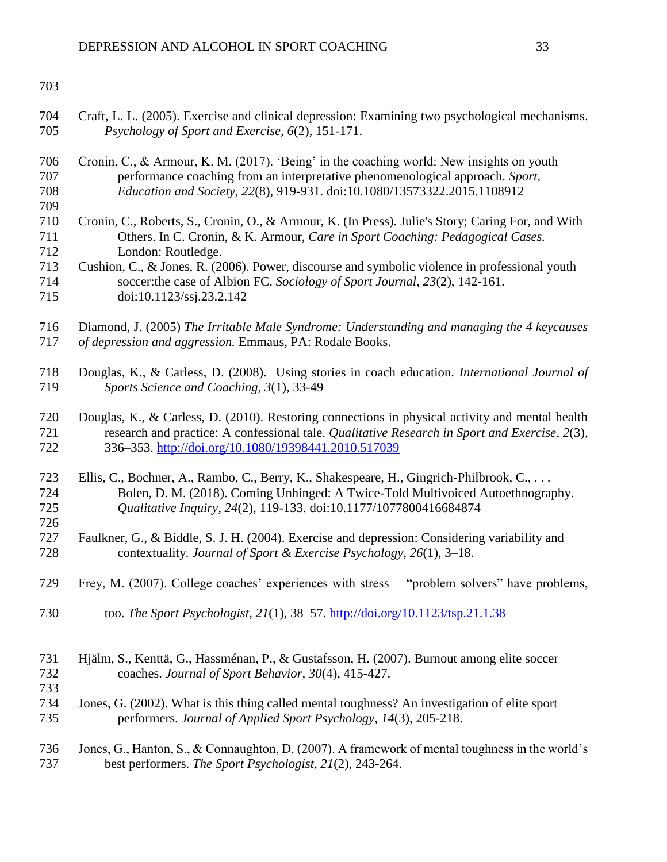*Psychology of Sport and Exercise, 6*(2), 151-171. Cronin, C., & Armour, K. M. (2017). 'Being' in the coaching world: New insights on youth performance coaching from an interpretative phenomenological approach. *Sport, Education and Society, 22*(8), 919-931. doi:10.1080/13573322.2015.1108912 Cronin, C., Roberts, S., Cronin, O., & Armour, K. (In Press). Julie's Story; Caring For, and With Others. In C. Cronin, & K. Armour, *Care in Sport Coaching: Pedagogical Cases.* London: Routledge. Cushion, C., & Jones, R. (2006). Power, discourse and symbolic violence in professional youth soccer:the case of Albion FC. *Sociology of Sport Journal, 23*(2), 142-161. doi:10.1123/ssj.23.2.142 Diamond, J. (2005) *The Irritable Male Syndrome: Understanding and managing the 4 keycauses of depression and aggression.* Emmaus, PA: Rodale Books. Douglas, K., & Carless, D. (2008). Using stories in coach education. *International Journal of Sports Science and Coaching, 3*(1), 33-49

Craft, L. L. (2005). Exercise and clinical depression: Examining two psychological mechanisms.

- Douglas, K., & Carless, D. (2010). Restoring connections in physical activity and mental health research and practice: A confessional tale. *Qualitative Research in Sport and Exercise*, *2*(3), 336–353.<http://doi.org/10.1080/19398441.2010.517039>
- Ellis, C., Bochner, A., Rambo, C., Berry, K., Shakespeare, H., Gingrich-Philbrook, C., . . . Bolen, D. M. (2018). Coming Unhinged: A Twice-Told Multivoiced Autoethnography. *Qualitative Inquiry, 24*(2), 119-133. doi:10.1177/1077800416684874
- Faulkner, G., & Biddle, S. J. H. (2004). Exercise and depression: Considering variability and contextuality. *Journal of Sport & Exercise Psychology*, *26*(1), 3–18.
- Frey, M. (2007). College coaches' experiences with stress— "problem solvers" have problems,
- too. *The Sport Psychologist*, *21*(1), 38–57.<http://doi.org/10.1123/tsp.21.1.38>
- Hjälm, S., Kenttä, G., Hassménan, P., & Gustafsson, H. (2007). Burnout among elite soccer coaches. *Journal of Sport Behavior, 30*(4), 415-427.
- Jones, G. (2002). What is this thing called mental toughness? An investigation of elite sport performers. *Journal of Applied Sport Psychology, 14*(3), 205-218.
- Jones, G., Hanton, S., & Connaughton, D. (2007). A framework of mental toughness in the world's best performers. *The Sport Psychologist, 21*(2), 243-264.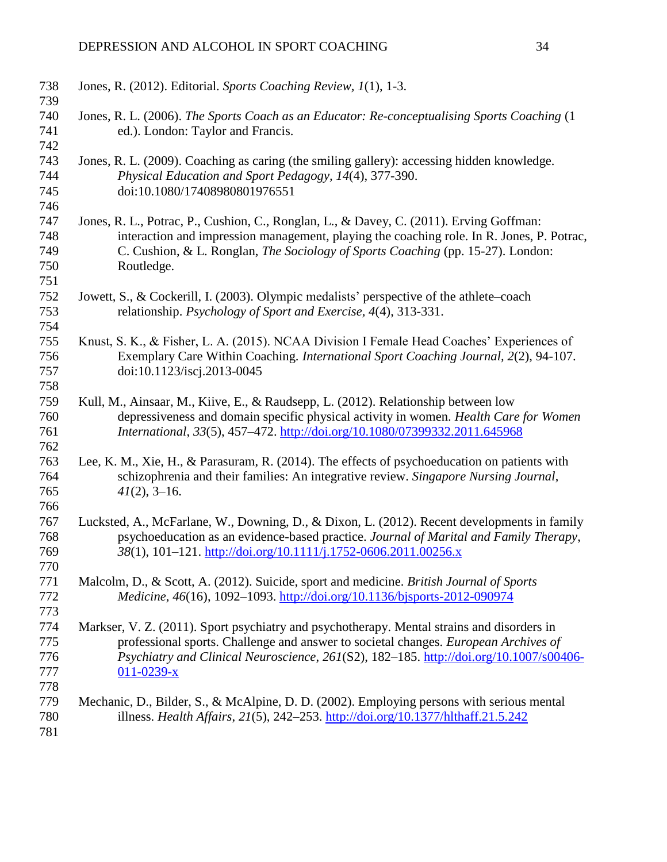| 738<br>739                      | Jones, R. (2012). Editorial. Sports Coaching Review, 1(1), 1-3.                                                                                                                                                                                                                                 |
|---------------------------------|-------------------------------------------------------------------------------------------------------------------------------------------------------------------------------------------------------------------------------------------------------------------------------------------------|
| 740<br>741<br>742               | Jones, R. L. (2006). The Sports Coach as an Educator: Re-conceptualising Sports Coaching (1<br>ed.). London: Taylor and Francis.                                                                                                                                                                |
| 743<br>744<br>745<br>746        | Jones, R. L. (2009). Coaching as caring (the smiling gallery): accessing hidden knowledge.<br>Physical Education and Sport Pedagogy, 14(4), 377-390.<br>doi:10.1080/17408980801976551                                                                                                           |
| 747<br>748<br>749<br>750<br>751 | Jones, R. L., Potrac, P., Cushion, C., Ronglan, L., & Davey, C. (2011). Erving Goffman:<br>interaction and impression management, playing the coaching role. In R. Jones, P. Potrac,<br>C. Cushion, & L. Ronglan, The Sociology of Sports Coaching (pp. 15-27). London:<br>Routledge.           |
| 752<br>753<br>754               | Jowett, S., & Cockerill, I. (2003). Olympic medalists' perspective of the athlete–coach<br>relationship. Psychology of Sport and Exercise, 4(4), 313-331.                                                                                                                                       |
| 755<br>756<br>757<br>758        | Knust, S. K., & Fisher, L. A. (2015). NCAA Division I Female Head Coaches' Experiences of<br>Exemplary Care Within Coaching. International Sport Coaching Journal, 2(2), 94-107.<br>doi:10.1123/iscj.2013-0045                                                                                  |
| 759<br>760<br>761<br>762        | Kull, M., Ainsaar, M., Kiive, E., & Raudsepp, L. (2012). Relationship between low<br>depressiveness and domain specific physical activity in women. Health Care for Women<br>International, 33(5), 457-472. http://doi.org/10.1080/07399332.2011.645968                                         |
| 763<br>764<br>765<br>766        | Lee, K. M., Xie, H., & Parasuram, R. (2014). The effects of psychoeducation on patients with<br>schizophrenia and their families: An integrative review. Singapore Nursing Journal,<br>$41(2)$ , 3-16.                                                                                          |
| 767<br>768<br>769<br>770        | Lucksted, A., McFarlane, W., Downing, D., & Dixon, L. (2012). Recent developments in family<br>psychoeducation as an evidence-based practice. Journal of Marital and Family Therapy,<br>38(1), 101-121. http://doi.org/10.1111/j.1752-0606.2011.00256.x                                         |
| 771<br>772<br>773               | Malcolm, D., & Scott, A. (2012). Suicide, sport and medicine. British Journal of Sports<br>Medicine, 46(16), 1092-1093. http://doi.org/10.1136/bjsports-2012-090974                                                                                                                             |
| 774<br>775<br>776<br>777<br>778 | Markser, V. Z. (2011). Sport psychiatry and psychotherapy. Mental strains and disorders in<br>professional sports. Challenge and answer to societal changes. European Archives of<br>Psychiatry and Clinical Neuroscience, 261(S2), 182-185. http://doi.org/10.1007/s00406-<br>$011 - 0239 - x$ |
| 779<br>780<br>781               | Mechanic, D., Bilder, S., & McAlpine, D. D. (2002). Employing persons with serious mental<br>illness. <i>Health Affairs</i> , 21(5), 242–253. http://doi.org/10.1377/hlthaff.21.5.242                                                                                                           |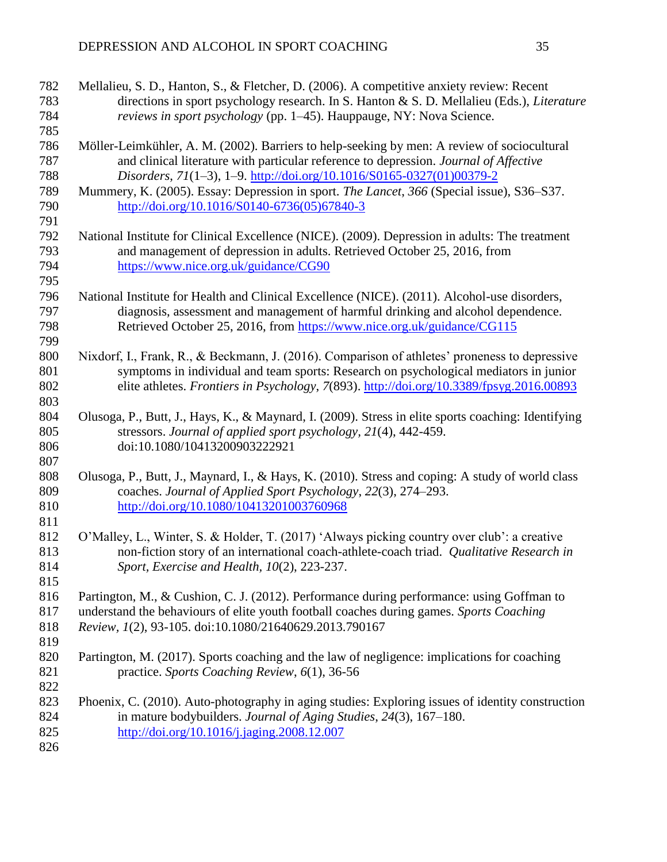| 782 | Mellalieu, S. D., Hanton, S., & Fletcher, D. (2006). A competitive anxiety review: Recent           |
|-----|-----------------------------------------------------------------------------------------------------|
| 783 | directions in sport psychology research. In S. Hanton & S. D. Mellalieu (Eds.), Literature          |
| 784 | reviews in sport psychology (pp. 1–45). Hauppauge, NY: Nova Science.                                |
| 785 |                                                                                                     |
| 786 | Möller-Leimkühler, A. M. (2002). Barriers to help-seeking by men: A review of sociocultural         |
| 787 | and clinical literature with particular reference to depression. Journal of Affective               |
| 788 | Disorders, 71(1-3), 1-9. http://doi.org/10.1016/S0165-0327(01)00379-2                               |
| 789 | Mummery, K. (2005). Essay: Depression in sport. The Lancet, 366 (Special issue), S36–S37.           |
| 790 | http://doi.org/10.1016/S0140-6736(05)67840-3                                                        |
| 791 |                                                                                                     |
| 792 | National Institute for Clinical Excellence (NICE). (2009). Depression in adults: The treatment      |
| 793 | and management of depression in adults. Retrieved October 25, 2016, from                            |
| 794 | https://www.nice.org.uk/guidance/CG90                                                               |
| 795 |                                                                                                     |
| 796 | National Institute for Health and Clinical Excellence (NICE). (2011). Alcohol-use disorders,        |
| 797 | diagnosis, assessment and management of harmful drinking and alcohol dependence.                    |
| 798 | Retrieved October 25, 2016, from https://www.nice.org.uk/guidance/CG115                             |
| 799 |                                                                                                     |
| 800 | Nixdorf, I., Frank, R., & Beckmann, J. (2016). Comparison of athletes' proneness to depressive      |
| 801 | symptoms in individual and team sports: Research on psychological mediators in junior               |
| 802 | elite athletes. Frontiers in Psychology, 7(893). http://doi.org/10.3389/fpsyg.2016.00893            |
| 803 |                                                                                                     |
| 804 | Olusoga, P., Butt, J., Hays, K., & Maynard, I. (2009). Stress in elite sports coaching: Identifying |
| 805 | stressors. Journal of applied sport psychology, 21(4), 442-459.                                     |
| 806 | doi:10.1080/10413200903222921                                                                       |
| 807 |                                                                                                     |
| 808 | Olusoga, P., Butt, J., Maynard, I., & Hays, K. (2010). Stress and coping: A study of world class    |
| 809 | coaches. Journal of Applied Sport Psychology, 22(3), 274–293.                                       |
| 810 | http://doi.org/10.1080/10413201003760968                                                            |
| 811 |                                                                                                     |
| 812 | O'Malley, L., Winter, S. & Holder, T. (2017) 'Always picking country over club': a creative         |
| 813 | non-fiction story of an international coach-athlete-coach triad. Qualitative Research in            |
| 814 | Sport, Exercise and Health, 10(2), 223-237.                                                         |
| 815 |                                                                                                     |
| 816 | Partington, M., & Cushion, C. J. (2012). Performance during performance: using Goffman to           |
| 817 | understand the behaviours of elite youth football coaches during games. Sports Coaching             |
| 818 | Review, 1(2), 93-105. doi:10.1080/21640629.2013.790167                                              |
| 819 |                                                                                                     |
| 820 | Partington, M. (2017). Sports coaching and the law of negligence: implications for coaching         |
| 821 | practice. Sports Coaching Review, 6(1), 36-56                                                       |
| 822 |                                                                                                     |
| 823 |                                                                                                     |
|     | Phoenix, C. (2010). Auto-photography in aging studies: Exploring issues of identity construction    |
| 824 | in mature bodybuilders. Journal of Aging Studies, 24(3), 167-180.                                   |
| 825 | http://doi.org/10.1016/j.jaging.2008.12.007                                                         |
| 826 |                                                                                                     |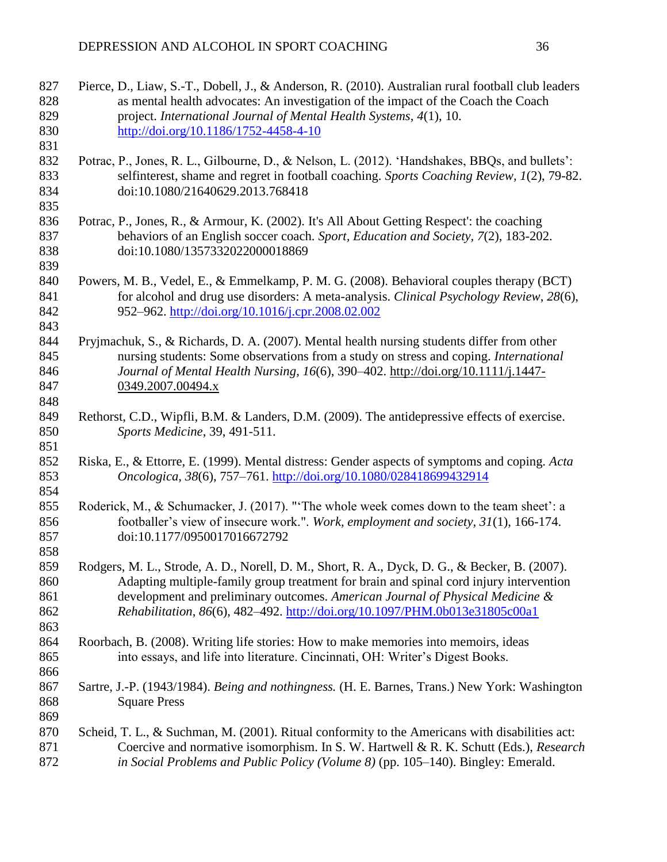| 827<br>828<br>829               | Pierce, D., Liaw, S.-T., Dobell, J., & Anderson, R. (2010). Australian rural football club leaders<br>as mental health advocates: An investigation of the impact of the Coach the Coach<br>project. International Journal of Mental Health Systems, 4(1), 10.                                                                                           |
|---------------------------------|---------------------------------------------------------------------------------------------------------------------------------------------------------------------------------------------------------------------------------------------------------------------------------------------------------------------------------------------------------|
| 830<br>831                      | http://doi.org/10.1186/1752-4458-4-10                                                                                                                                                                                                                                                                                                                   |
| 832<br>833<br>834<br>835        | Potrac, P., Jones, R. L., Gilbourne, D., & Nelson, L. (2012). 'Handshakes, BBQs, and bullets':<br>selfinterest, shame and regret in football coaching. Sports Coaching Review, 1(2), 79-82.<br>doi:10.1080/21640629.2013.768418                                                                                                                         |
| 836<br>837<br>838<br>839        | Potrac, P., Jones, R., & Armour, K. (2002). It's All About Getting Respect': the coaching<br>behaviors of an English soccer coach. Sport, Education and Society, 7(2), 183-202.<br>doi:10.1080/1357332022000018869                                                                                                                                      |
| 840<br>841<br>842<br>843        | Powers, M. B., Vedel, E., & Emmelkamp, P. M. G. (2008). Behavioral couples therapy (BCT)<br>for alcohol and drug use disorders: A meta-analysis. Clinical Psychology Review, 28(6),<br>952–962. http://doi.org/10.1016/j.cpr.2008.02.002                                                                                                                |
| 844<br>845<br>846<br>847<br>848 | Pryjmachuk, S., & Richards, D. A. (2007). Mental health nursing students differ from other<br>nursing students: Some observations from a study on stress and coping. International<br>Journal of Mental Health Nursing, 16(6), 390-402. http://doi.org/10.1111/j.1447-<br>0349.2007.00494.x                                                             |
| 849<br>850<br>851               | Rethorst, C.D., Wipfli, B.M. & Landers, D.M. (2009). The antidepressive effects of exercise.<br>Sports Medicine, 39, 491-511.                                                                                                                                                                                                                           |
| 852<br>853<br>854               | Riska, E., & Ettorre, E. (1999). Mental distress: Gender aspects of symptoms and coping. Acta<br>Oncologica, 38(6), 757-761. http://doi.org/10.1080/028418699432914                                                                                                                                                                                     |
| 855<br>856<br>857<br>858        | Roderick, M., & Schumacker, J. (2017). "'The whole week comes down to the team sheet': a<br>footballer's view of insecure work.". Work, employment and society, 31(1), 166-174.<br>doi:10.1177/0950017016672792                                                                                                                                         |
| 859<br>860<br>861<br>862<br>863 | Rodgers, M. L., Strode, A. D., Norell, D. M., Short, R. A., Dyck, D. G., & Becker, B. (2007).<br>Adapting multiple-family group treatment for brain and spinal cord injury intervention<br>development and preliminary outcomes. American Journal of Physical Medicine &<br>Rehabilitation, 86(6), 482-492. http://doi.org/10.1097/PHM.0b013e31805c00a1 |
| 864<br>865<br>866               | Roorbach, B. (2008). Writing life stories: How to make memories into memoirs, ideas<br>into essays, and life into literature. Cincinnati, OH: Writer's Digest Books.                                                                                                                                                                                    |
| 867<br>868<br>869               | Sartre, J.-P. (1943/1984). Being and nothingness. (H. E. Barnes, Trans.) New York: Washington<br><b>Square Press</b>                                                                                                                                                                                                                                    |
| 870<br>871<br>872               | Scheid, T. L., & Suchman, M. (2001). Ritual conformity to the Americans with disabilities act:<br>Coercive and normative isomorphism. In S. W. Hartwell & R. K. Schutt (Eds.), Research<br>in Social Problems and Public Policy (Volume 8) (pp. 105-140). Bingley: Emerald.                                                                             |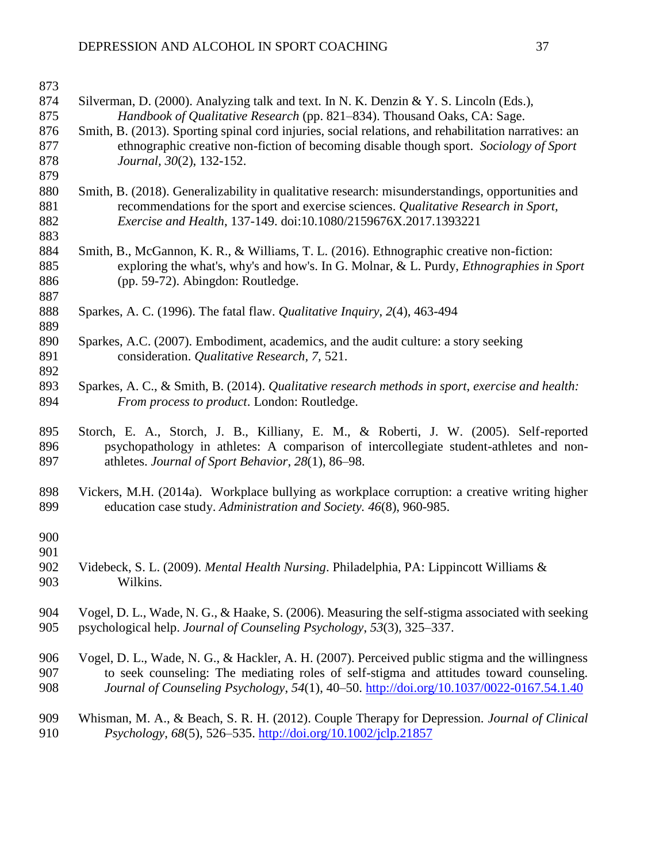| 873 |                                                                                                      |
|-----|------------------------------------------------------------------------------------------------------|
| 874 | Silverman, D. (2000). Analyzing talk and text. In N. K. Denzin & Y. S. Lincoln (Eds.),               |
| 875 | Handbook of Qualitative Research (pp. 821–834). Thousand Oaks, CA: Sage.                             |
| 876 | Smith, B. (2013). Sporting spinal cord injuries, social relations, and rehabilitation narratives: an |
| 877 | ethnographic creative non-fiction of becoming disable though sport. Sociology of Sport               |
| 878 | Journal, 30(2), 132-152.                                                                             |
| 879 |                                                                                                      |
| 880 | Smith, B. (2018). Generalizability in qualitative research: misunderstandings, opportunities and     |
| 881 | recommendations for the sport and exercise sciences. Qualitative Research in Sport,                  |
| 882 | Exercise and Health, 137-149. doi:10.1080/2159676X.2017.1393221                                      |
| 883 |                                                                                                      |
| 884 | Smith, B., McGannon, K. R., & Williams, T. L. (2016). Ethnographic creative non-fiction:             |
| 885 | exploring the what's, why's and how's. In G. Molnar, & L. Purdy, <i>Ethnographies in Sport</i>       |
| 886 | (pp. 59-72). Abingdon: Routledge.                                                                    |
| 887 |                                                                                                      |
| 888 | Sparkes, A. C. (1996). The fatal flaw. Qualitative Inquiry, 2(4), 463-494                            |
| 889 |                                                                                                      |
| 890 | Sparkes, A.C. (2007). Embodiment, academics, and the audit culture: a story seeking                  |
| 891 | consideration. Qualitative Research, 7, 521.                                                         |
| 892 |                                                                                                      |
| 893 | Sparkes, A. C., & Smith, B. (2014). Qualitative research methods in sport, exercise and health:      |
| 894 | From process to product. London: Routledge.                                                          |
|     |                                                                                                      |
| 895 | Storch, E. A., Storch, J. B., Killiany, E. M., & Roberti, J. W. (2005). Self-reported                |
| 896 | psychopathology in athletes: A comparison of intercollegiate student-athletes and non-               |
| 897 | athletes. Journal of Sport Behavior, 28(1), 86-98.                                                   |
|     |                                                                                                      |
| 898 | Vickers, M.H. (2014a). Workplace bullying as workplace corruption: a creative writing higher         |
| 899 | education case study. Administration and Society. 46(8), 960-985.                                    |
|     |                                                                                                      |
| 900 |                                                                                                      |
| 901 |                                                                                                      |
| 902 | Videbeck, S. L. (2009). Mental Health Nursing. Philadelphia, PA: Lippincott Williams &               |
| 903 | Wilkins.                                                                                             |
|     |                                                                                                      |
| 904 | Vogel, D. L., Wade, N. G., & Haake, S. (2006). Measuring the self-stigma associated with seeking     |
| 905 | psychological help. Journal of Counseling Psychology, 53(3), 325–337.                                |
|     |                                                                                                      |
| 906 | Vogel, D. L., Wade, N. G., & Hackler, A. H. (2007). Perceived public stigma and the willingness      |
| 907 | to seek counseling: The mediating roles of self-stigma and attitudes toward counseling.              |
| 908 | Journal of Counseling Psychology, 54(1), 40-50. http://doi.org/10.1037/0022-0167.54.1.40             |
|     |                                                                                                      |
| 909 | Whisman, M. A., & Beach, S. R. H. (2012). Couple Therapy for Depression. Journal of Clinical         |
| 910 | Psychology, 68(5), 526-535. http://doi.org/10.1002/jclp.21857                                        |
|     |                                                                                                      |